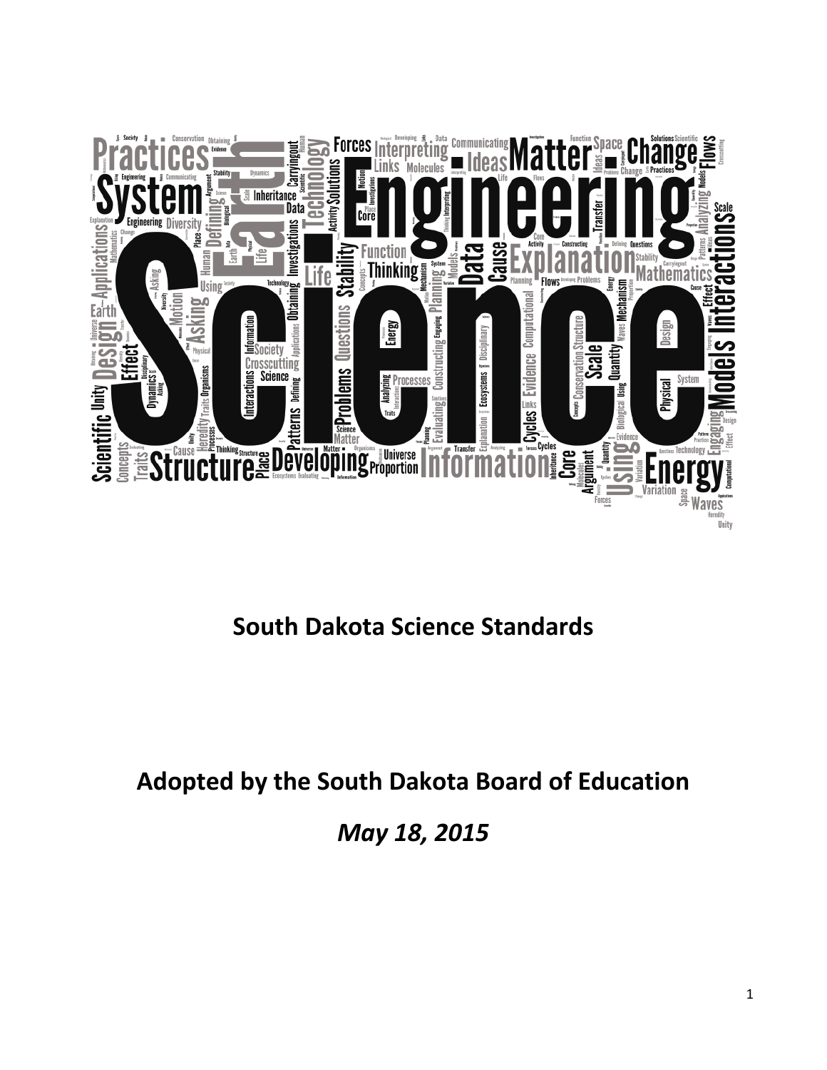

# **South Dakota Science Standards**

# **Adopted by the South Dakota Board of Education**

*May 18, 2015*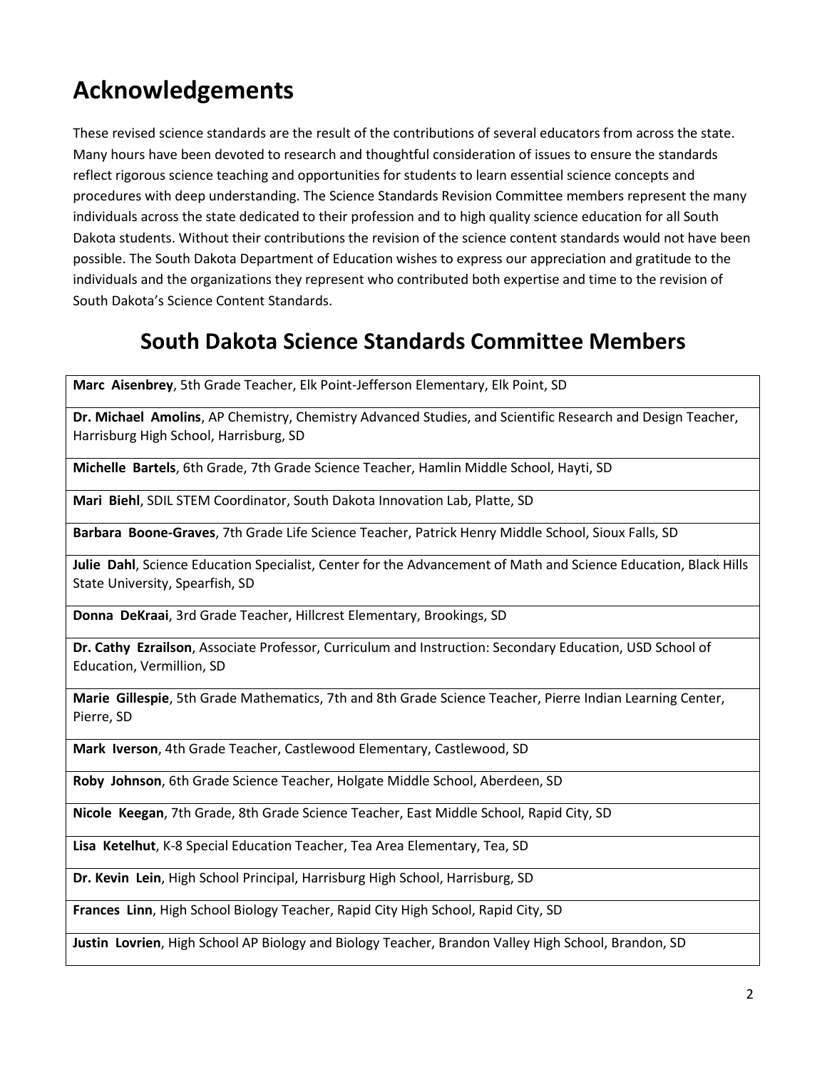# **Acknowledgements**

These revised science standards are the result of the contributions of several educators from across the state. Many hours have been devoted to research and thoughtful consideration of issues to ensure the standards reflect rigorous science teaching and opportunities for students to learn essential science concepts and procedures with deep understanding. The Science Standards Revision Committee members represent the many individuals across the state dedicated to their profession and to high quality science education for all South Dakota students. Without their contributions the revision of the science content standards would not have been possible. The South Dakota Department of Education wishes to express our appreciation and gratitude to the individuals and the organizations they represent who contributed both expertise and time to the revision of South Dakota's Science Content Standards.

## **South Dakota Science Standards Committee Members**

**Marc Aisenbrey**, 5th Grade Teacher, Elk Point-Jefferson Elementary, Elk Point, SD

**Dr. Michael Amolins**, AP Chemistry, Chemistry Advanced Studies, and Scientific Research and Design Teacher, Harrisburg High School, Harrisburg, SD

**Michelle Bartels**, 6th Grade, 7th Grade Science Teacher, Hamlin Middle School, Hayti, SD

**Mari Biehl**, SDIL STEM Coordinator, South Dakota Innovation Lab, Platte, SD

**Barbara Boone-Graves**, 7th Grade Life Science Teacher, Patrick Henry Middle School, Sioux Falls, SD

**Julie Dahl**, Science Education Specialist, Center for the Advancement of Math and Science Education, Black Hills State University, Spearfish, SD

**Donna DeKraai**, 3rd Grade Teacher, Hillcrest Elementary, Brookings, SD

**Dr. Cathy Ezrailson**, Associate Professor, Curriculum and Instruction: Secondary Education, USD School of Education, Vermillion, SD

**Marie Gillespie**, 5th Grade Mathematics, 7th and 8th Grade Science Teacher, Pierre Indian Learning Center, Pierre, SD

**Mark Iverson**, 4th Grade Teacher, Castlewood Elementary, Castlewood, SD

**Roby Johnson**, 6th Grade Science Teacher, Holgate Middle School, Aberdeen, SD

**Nicole Keegan**, 7th Grade, 8th Grade Science Teacher, East Middle School, Rapid City, SD

**Lisa Ketelhut**, K-8 Special Education Teacher, Tea Area Elementary, Tea, SD

**Dr. Kevin Lein**, High School Principal, Harrisburg High School, Harrisburg, SD

**Frances Linn**, High School Biology Teacher, Rapid City High School, Rapid City, SD

**Justin Lovrien**, High School AP Biology and Biology Teacher, Brandon Valley High School, Brandon, SD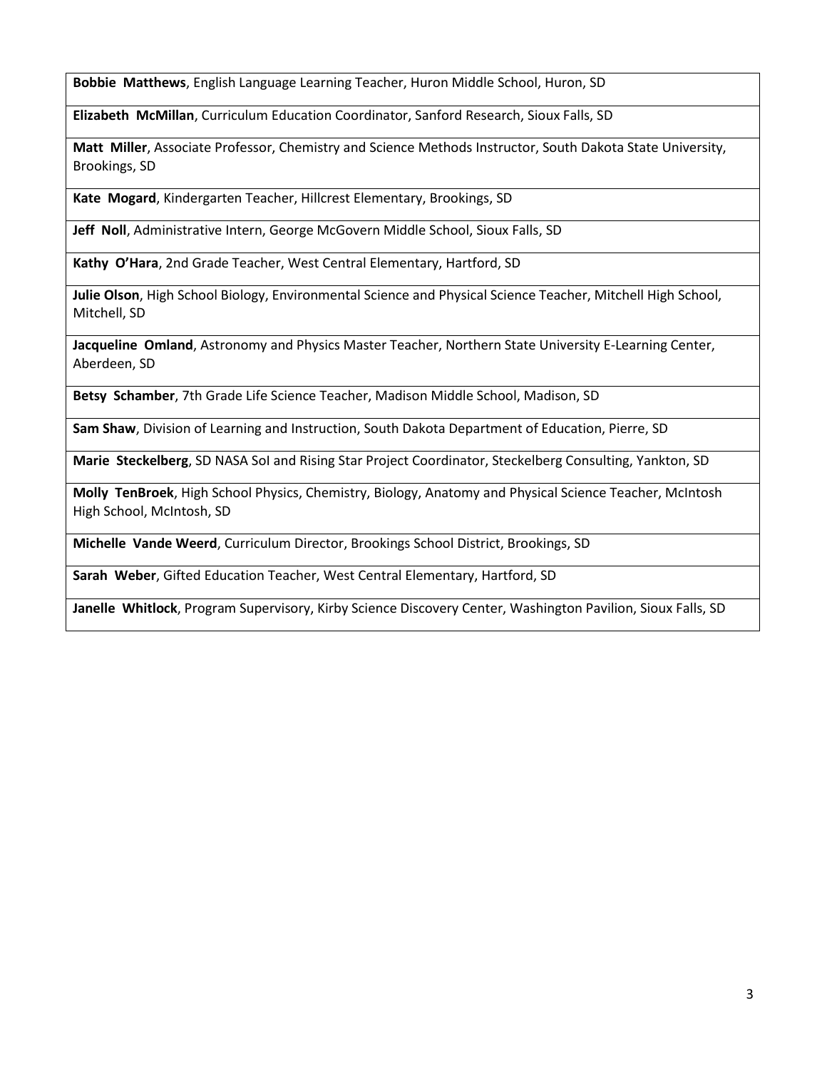**Bobbie Matthews**, English Language Learning Teacher, Huron Middle School, Huron, SD

**Elizabeth McMillan**, Curriculum Education Coordinator, Sanford Research, Sioux Falls, SD

**Matt Miller**, Associate Professor, Chemistry and Science Methods Instructor, South Dakota State University, Brookings, SD

**Kate Mogard**, Kindergarten Teacher, Hillcrest Elementary, Brookings, SD

**Jeff Noll**, Administrative Intern, George McGovern Middle School, Sioux Falls, SD

**Kathy O'Hara**, 2nd Grade Teacher, West Central Elementary, Hartford, SD

**Julie Olson**, High School Biology, Environmental Science and Physical Science Teacher, Mitchell High School, Mitchell, SD

**Jacqueline Omland**, Astronomy and Physics Master Teacher, Northern State University E-Learning Center, Aberdeen, SD

**Betsy Schamber**, 7th Grade Life Science Teacher, Madison Middle School, Madison, SD

**Sam Shaw**, Division of Learning and Instruction, South Dakota Department of Education, Pierre, SD

**Marie Steckelberg**, SD NASA SoI and Rising Star Project Coordinator, Steckelberg Consulting, Yankton, SD

**Molly TenBroek**, High School Physics, Chemistry, Biology, Anatomy and Physical Science Teacher, McIntosh High School, McIntosh, SD

**Michelle Vande Weerd**, Curriculum Director, Brookings School District, Brookings, SD

**Sarah Weber**, Gifted Education Teacher, West Central Elementary, Hartford, SD

**Janelle Whitlock**, Program Supervisory, Kirby Science Discovery Center, Washington Pavilion, Sioux Falls, SD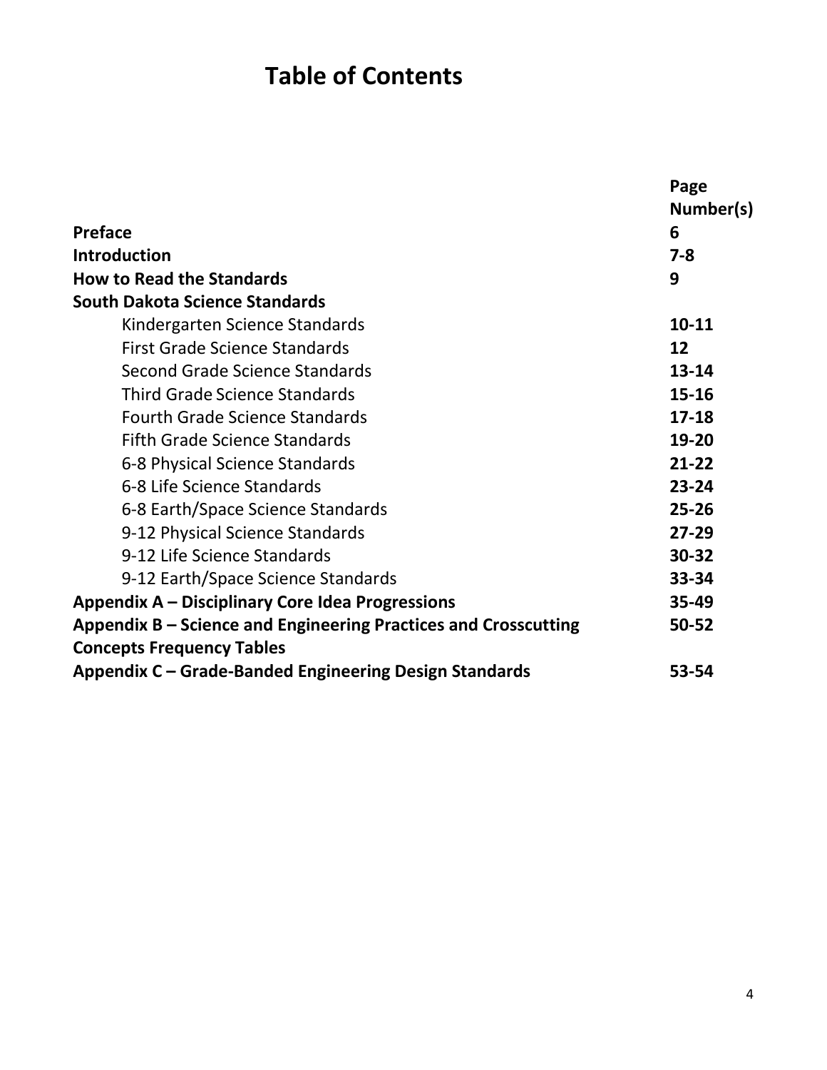# **Table of Contents**

|                                                                 | Page      |
|-----------------------------------------------------------------|-----------|
|                                                                 | Number(s) |
| <b>Preface</b>                                                  | 6         |
| <b>Introduction</b>                                             | $7 - 8$   |
| <b>How to Read the Standards</b>                                | 9         |
| <b>South Dakota Science Standards</b>                           |           |
| Kindergarten Science Standards                                  | $10 - 11$ |
| First Grade Science Standards                                   | 12        |
| Second Grade Science Standards                                  | $13 - 14$ |
| <b>Third Grade Science Standards</b>                            | 15-16     |
| <b>Fourth Grade Science Standards</b>                           | $17 - 18$ |
| <b>Fifth Grade Science Standards</b>                            | 19-20     |
| 6-8 Physical Science Standards                                  | $21 - 22$ |
| 6-8 Life Science Standards                                      | 23-24     |
| 6-8 Earth/Space Science Standards                               | $25 - 26$ |
| 9-12 Physical Science Standards                                 | $27 - 29$ |
| 9-12 Life Science Standards                                     | 30-32     |
| 9-12 Earth/Space Science Standards                              | 33-34     |
| Appendix A – Disciplinary Core Idea Progressions                | 35-49     |
| Appendix B – Science and Engineering Practices and Crosscutting | 50-52     |
| <b>Concepts Frequency Tables</b>                                |           |
| Appendix C - Grade-Banded Engineering Design Standards          | 53-54     |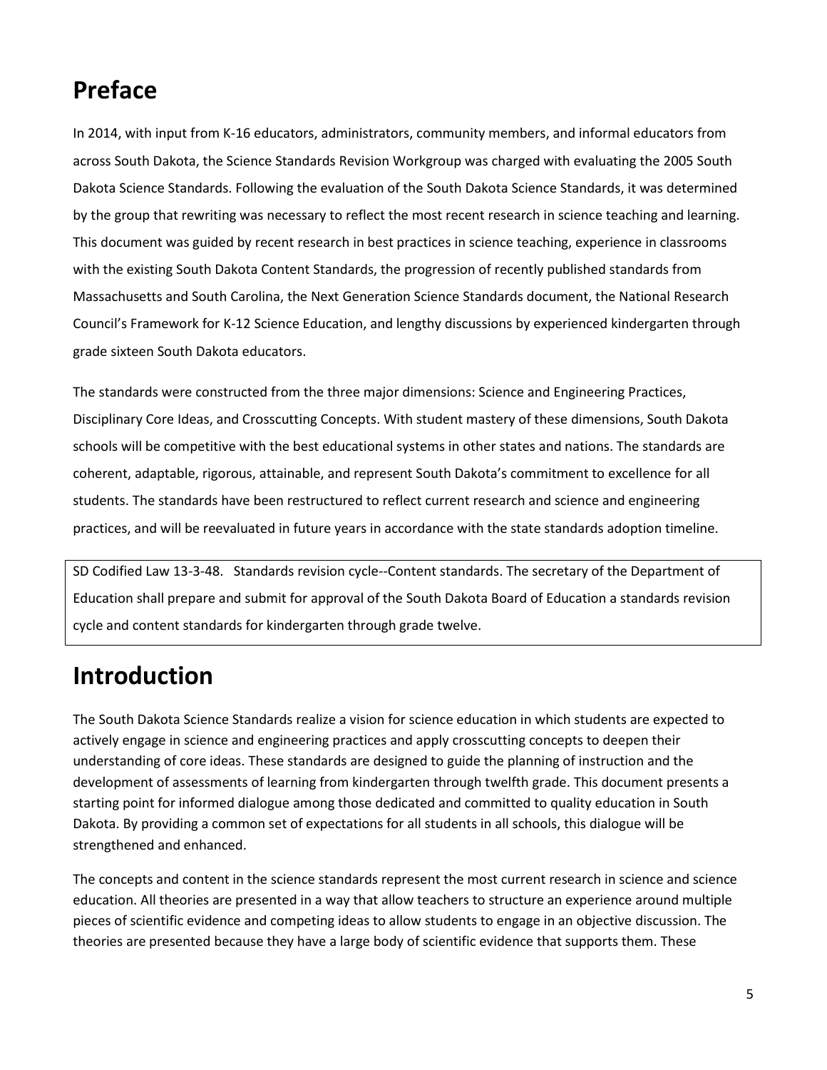# **Preface**

In 2014, with input from K-16 educators, administrators, community members, and informal educators from across South Dakota, the Science Standards Revision Workgroup was charged with evaluating the 2005 South Dakota Science Standards. Following the evaluation of the South Dakota Science Standards, it was determined by the group that rewriting was necessary to reflect the most recent research in science teaching and learning. This document was guided by recent research in best practices in science teaching, experience in classrooms with the existing South Dakota Content Standards, the progression of recently published standards from Massachusetts and South Carolina, the Next Generation Science Standards document, the National Research Council's Framework for K-12 Science Education, and lengthy discussions by experienced kindergarten through grade sixteen South Dakota educators.

The standards were constructed from the three major dimensions: Science and Engineering Practices, Disciplinary Core Ideas, and Crosscutting Concepts. With student mastery of these dimensions, South Dakota schools will be competitive with the best educational systems in other states and nations. The standards are coherent, adaptable, rigorous, attainable, and represent South Dakota's commitment to excellence for all students. The standards have been restructured to reflect current research and science and engineering practices, and will be reevaluated in future years in accordance with the state standards adoption timeline.

SD Codified Law 13-3-48. Standards revision cycle--Content standards. The secretary of the Department of Education shall prepare and submit for approval of the South Dakota Board of Education a standards revision cycle and content standards for kindergarten through grade twelve.

# **Introduction**

The South Dakota Science Standards realize a vision for science education in which students are expected to actively engage in science and engineering practices and apply crosscutting concepts to deepen their understanding of core ideas. These standards are designed to guide the planning of instruction and the development of assessments of learning from kindergarten through twelfth grade. This document presents a starting point for informed dialogue among those dedicated and committed to quality education in South Dakota. By providing a common set of expectations for all students in all schools, this dialogue will be strengthened and enhanced.

The concepts and content in the science standards represent the most current research in science and science education. All theories are presented in a way that allow teachers to structure an experience around multiple pieces of scientific evidence and competing ideas to allow students to engage in an objective discussion. The theories are presented because they have a large body of scientific evidence that supports them. These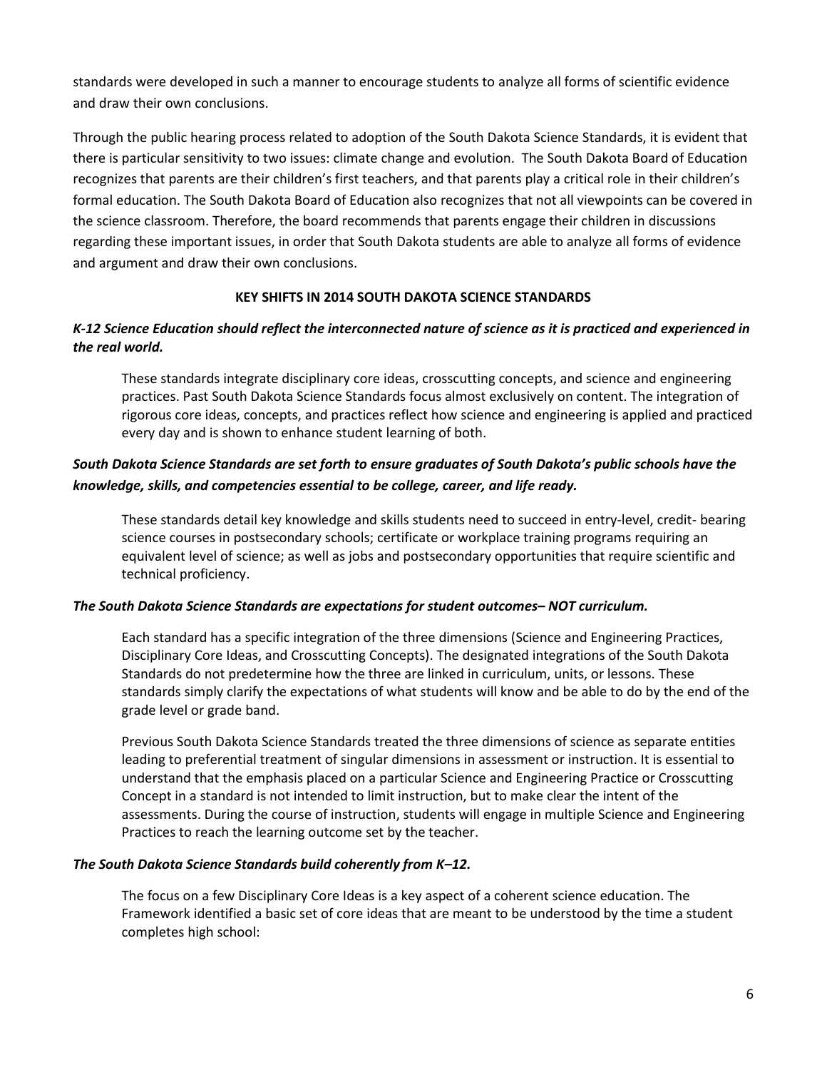standards were developed in such a manner to encourage students to analyze all forms of scientific evidence and draw their own conclusions.

Through the public hearing process related to adoption of the South Dakota Science Standards, it is evident that there is particular sensitivity to two issues: climate change and evolution. The South Dakota Board of Education recognizes that parents are their children's first teachers, and that parents play a critical role in their children's formal education. The South Dakota Board of Education also recognizes that not all viewpoints can be covered in the science classroom. Therefore, the board recommends that parents engage their children in discussions regarding these important issues, in order that South Dakota students are able to analyze all forms of evidence and argument and draw their own conclusions.

### **KEY SHIFTS IN 2014 SOUTH DAKOTA SCIENCE STANDARDS**

### *K-12 Science Education should reflect the interconnected nature of science as it is practiced and experienced in the real world.*

These standards integrate disciplinary core ideas, crosscutting concepts, and science and engineering practices. Past South Dakota Science Standards focus almost exclusively on content. The integration of rigorous core ideas, concepts, and practices reflect how science and engineering is applied and practiced every day and is shown to enhance student learning of both.

### *South Dakota Science Standards are set forth to ensure graduates of South Dakota's public schools have the knowledge, skills, and competencies essential to be college, career, and life ready.*

These standards detail key knowledge and skills students need to succeed in entry-level, credit- bearing science courses in postsecondary schools; certificate or workplace training programs requiring an equivalent level of science; as well as jobs and postsecondary opportunities that require scientific and technical proficiency.

### *The South Dakota Science Standards are expectations for student outcomes– NOT curriculum.*

Each standard has a specific integration of the three dimensions (Science and Engineering Practices, Disciplinary Core Ideas, and Crosscutting Concepts). The designated integrations of the South Dakota Standards do not predetermine how the three are linked in curriculum, units, or lessons. These standards simply clarify the expectations of what students will know and be able to do by the end of the grade level or grade band.

Previous South Dakota Science Standards treated the three dimensions of science as separate entities leading to preferential treatment of singular dimensions in assessment or instruction. It is essential to understand that the emphasis placed on a particular Science and Engineering Practice or Crosscutting Concept in a standard is not intended to limit instruction, but to make clear the intent of the assessments. During the course of instruction, students will engage in multiple Science and Engineering Practices to reach the learning outcome set by the teacher.

### *The South Dakota Science Standards build coherently from K–12.*

The focus on a few Disciplinary Core Ideas is a key aspect of a coherent science education. The Framework identified a basic set of core ideas that are meant to be understood by the time a student completes high school: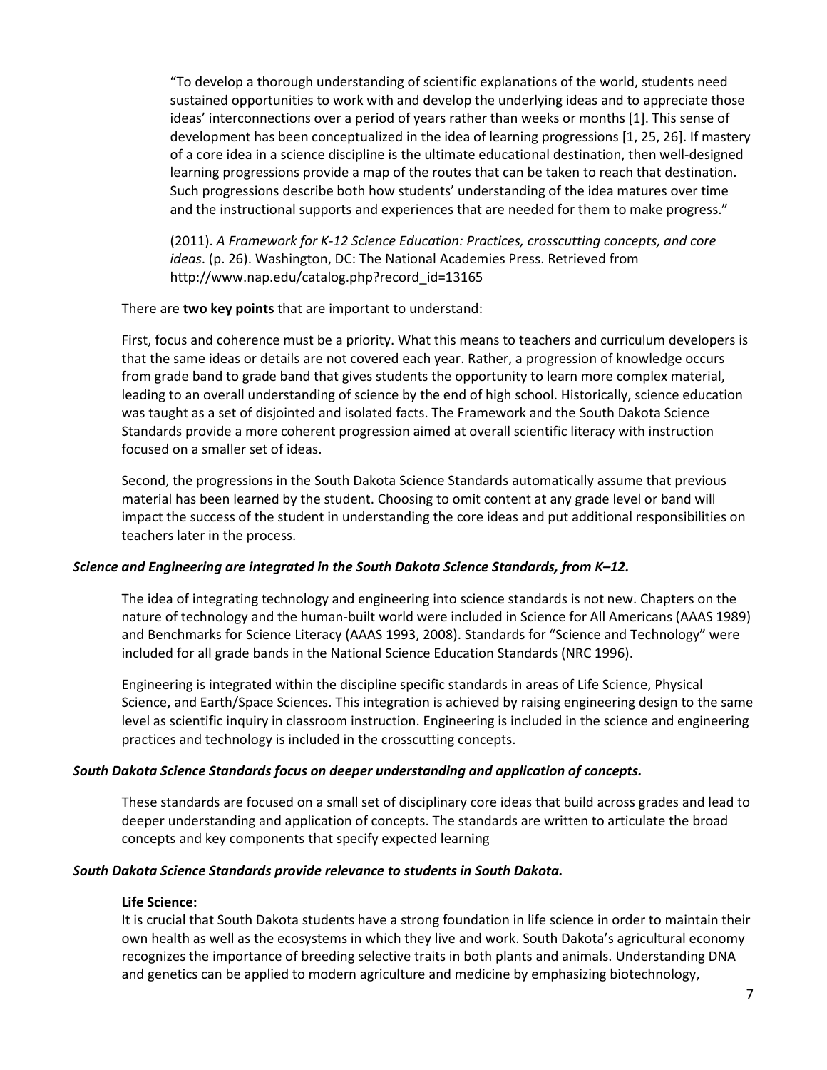"To develop a thorough understanding of scientific explanations of the world, students need sustained opportunities to work with and develop the underlying ideas and to appreciate those ideas' interconnections over a period of years rather than weeks or months [1]. This sense of development has been conceptualized in the idea of learning progressions [1, 25, 26]. If mastery of a core idea in a science discipline is the ultimate educational destination, then well-designed learning progressions provide a map of the routes that can be taken to reach that destination. Such progressions describe both how students' understanding of the idea matures over time and the instructional supports and experiences that are needed for them to make progress."

(2011). *A Framework for K-12 Science Education: Practices, crosscutting concepts, and core ideas*. (p. 26). Washington, DC: The National Academies Press. Retrieved from http://www.nap.edu/catalog.php?record\_id=13165

#### There are **two key points** that are important to understand:

First, focus and coherence must be a priority. What this means to teachers and curriculum developers is that the same ideas or details are not covered each year. Rather, a progression of knowledge occurs from grade band to grade band that gives students the opportunity to learn more complex material, leading to an overall understanding of science by the end of high school. Historically, science education was taught as a set of disjointed and isolated facts. The Framework and the South Dakota Science Standards provide a more coherent progression aimed at overall scientific literacy with instruction focused on a smaller set of ideas.

Second, the progressions in the South Dakota Science Standards automatically assume that previous material has been learned by the student. Choosing to omit content at any grade level or band will impact the success of the student in understanding the core ideas and put additional responsibilities on teachers later in the process.

#### *Science and Engineering are integrated in the South Dakota Science Standards, from K–12.*

The idea of integrating technology and engineering into science standards is not new. Chapters on the nature of technology and the human-built world were included in Science for All Americans (AAAS 1989) and Benchmarks for Science Literacy (AAAS 1993, 2008). Standards for "Science and Technology" were included for all grade bands in the National Science Education Standards (NRC 1996).

Engineering is integrated within the discipline specific standards in areas of Life Science, Physical Science, and Earth/Space Sciences. This integration is achieved by raising engineering design to the same level as scientific inquiry in classroom instruction. Engineering is included in the science and engineering practices and technology is included in the crosscutting concepts.

#### *South Dakota Science Standards focus on deeper understanding and application of concepts.*

These standards are focused on a small set of disciplinary core ideas that build across grades and lead to deeper understanding and application of concepts. The standards are written to articulate the broad concepts and key components that specify expected learning

#### *South Dakota Science Standards provide relevance to students in South Dakota.*

#### **Life Science:**

It is crucial that South Dakota students have a strong foundation in life science in order to maintain their own health as well as the ecosystems in which they live and work. South Dakota's agricultural economy recognizes the importance of breeding selective traits in both plants and animals. Understanding DNA and genetics can be applied to modern agriculture and medicine by emphasizing biotechnology,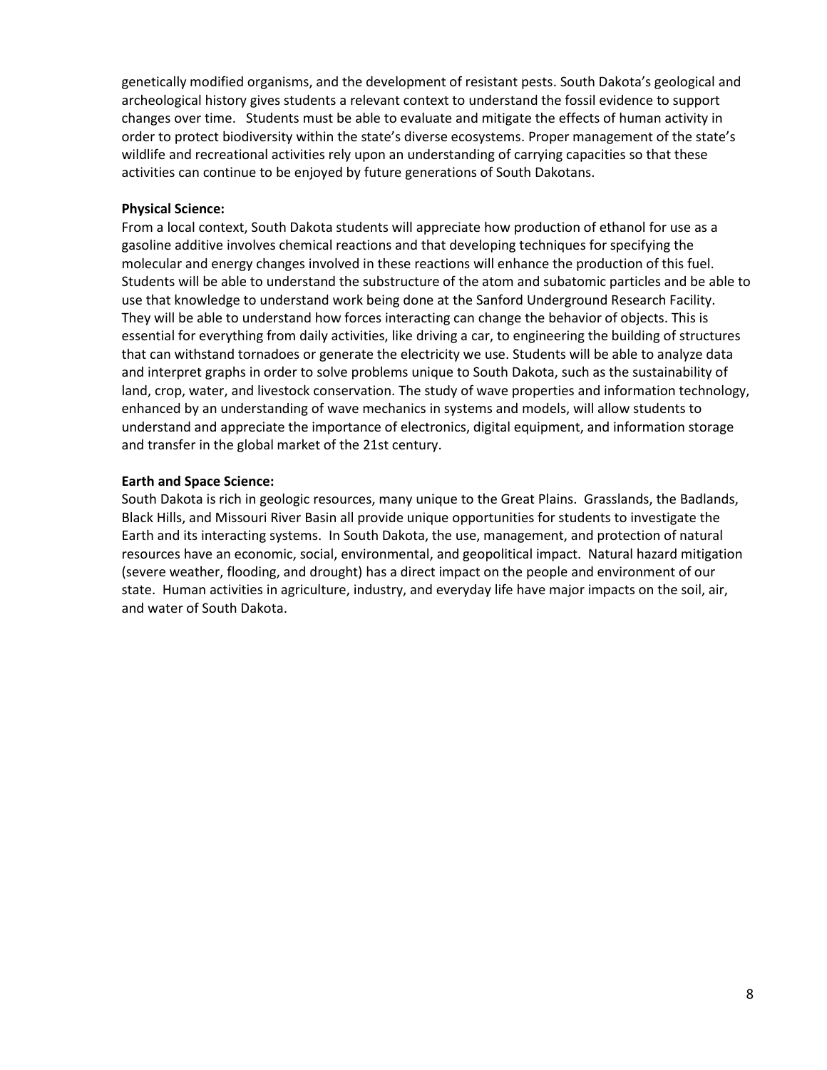genetically modified organisms, and the development of resistant pests. South Dakota's geological and archeological history gives students a relevant context to understand the fossil evidence to support changes over time. Students must be able to evaluate and mitigate the effects of human activity in order to protect biodiversity within the state's diverse ecosystems. Proper management of the state's wildlife and recreational activities rely upon an understanding of carrying capacities so that these activities can continue to be enjoyed by future generations of South Dakotans.

#### **Physical Science:**

From a local context, South Dakota students will appreciate how production of ethanol for use as a gasoline additive involves chemical reactions and that developing techniques for specifying the molecular and energy changes involved in these reactions will enhance the production of this fuel. Students will be able to understand the substructure of the atom and subatomic particles and be able to use that knowledge to understand work being done at the Sanford Underground Research Facility. They will be able to understand how forces interacting can change the behavior of objects. This is essential for everything from daily activities, like driving a car, to engineering the building of structures that can withstand tornadoes or generate the electricity we use. Students will be able to analyze data and interpret graphs in order to solve problems unique to South Dakota, such as the sustainability of land, crop, water, and livestock conservation. The study of wave properties and information technology, enhanced by an understanding of wave mechanics in systems and models, will allow students to understand and appreciate the importance of electronics, digital equipment, and information storage and transfer in the global market of the 21st century.

#### **Earth and Space Science:**

South Dakota is rich in geologic resources, many unique to the Great Plains. Grasslands, the Badlands, Black Hills, and Missouri River Basin all provide unique opportunities for students to investigate the Earth and its interacting systems. In South Dakota, the use, management, and protection of natural resources have an economic, social, environmental, and geopolitical impact. Natural hazard mitigation (severe weather, flooding, and drought) has a direct impact on the people and environment of our state. Human activities in agriculture, industry, and everyday life have major impacts on the soil, air, and water of South Dakota.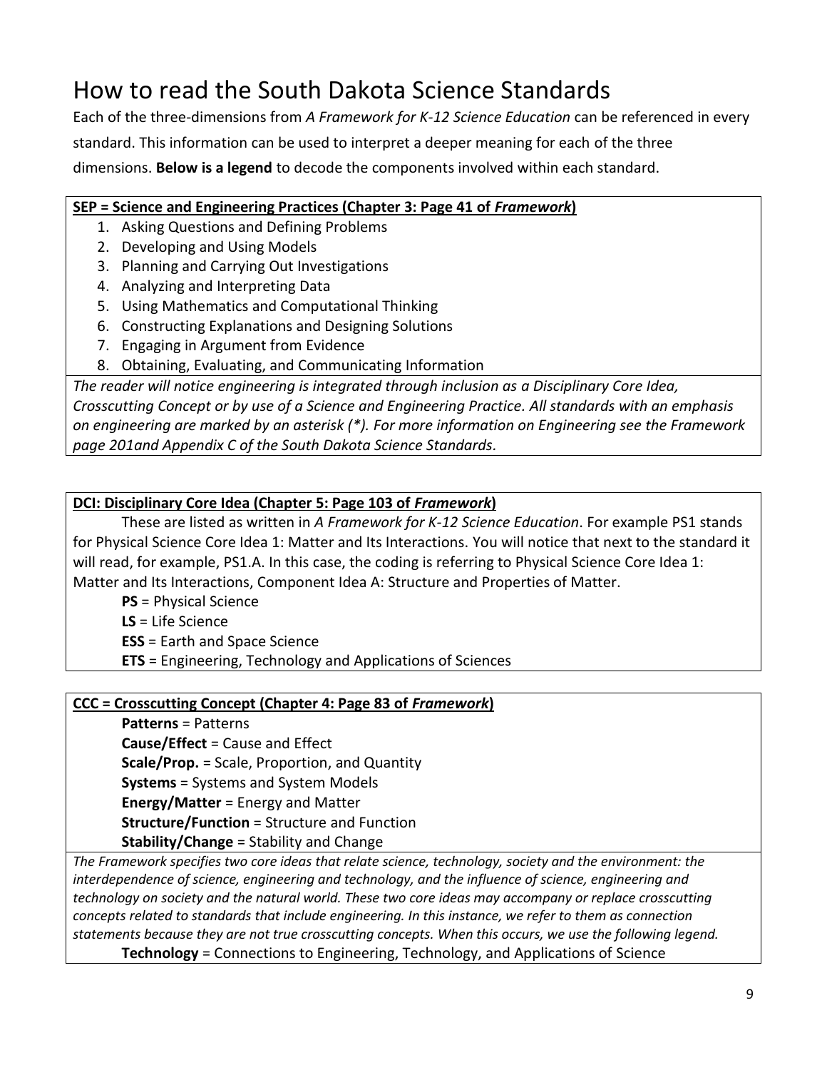# How to read the South Dakota Science Standards

Each of the three-dimensions from *A Framework for K-12 Science Education* can be referenced in every standard. This information can be used to interpret a deeper meaning for each of the three dimensions. **Below is a legend** to decode the components involved within each standard.

### **SEP = Science and Engineering Practices (Chapter 3: Page 41 of** *Framework***)**

- 1. Asking Questions and Defining Problems
- 2. Developing and Using Models
- 3. Planning and Carrying Out Investigations
- 4. Analyzing and Interpreting Data
- 5. Using Mathematics and Computational Thinking
- 6. Constructing Explanations and Designing Solutions
- 7. Engaging in Argument from Evidence
- 8. Obtaining, Evaluating, and Communicating Information

*The reader will notice engineering is integrated through inclusion as a Disciplinary Core Idea, Crosscutting Concept or by use of a Science and Engineering Practice. All standards with an emphasis on engineering are marked by an asterisk (\*). For more information on Engineering see the Framework page 201and Appendix C of the South Dakota Science Standards.*

### **DCI: Disciplinary Core Idea (Chapter 5: Page 103 of** *Framework***)**

These are listed as written in *A Framework for K-12 Science Education*. For example PS1 stands for Physical Science Core Idea 1: Matter and Its Interactions. You will notice that next to the standard it will read, for example, PS1.A. In this case, the coding is referring to Physical Science Core Idea 1: Matter and Its Interactions, Component Idea A: Structure and Properties of Matter.

**PS** = Physical Science

**LS** = Life Science

**ESS** = Earth and Space Science

**ETS** = Engineering, Technology and Applications of Sciences

### **CCC = Crosscutting Concept (Chapter 4: Page 83 of** *Framework***)**

**Patterns** = Patterns

**Cause/Effect** = Cause and Effect **Scale/Prop.** = Scale, Proportion, and Quantity **Systems** = Systems and System Models **Energy/Matter** = Energy and Matter **Structure/Function** = Structure and Function **Stability/Change** = Stability and Change

*The Framework specifies two core ideas that relate science, technology, society and the environment: the interdependence of science, engineering and technology, and the influence of science, engineering and technology on society and the natural world. These two core ideas may accompany or replace crosscutting concepts related to standards that include engineering. In this instance, we refer to them as connection statements because they are not true crosscutting concepts. When this occurs, we use the following legend.*  **Technology** = Connections to Engineering, Technology, and Applications of Science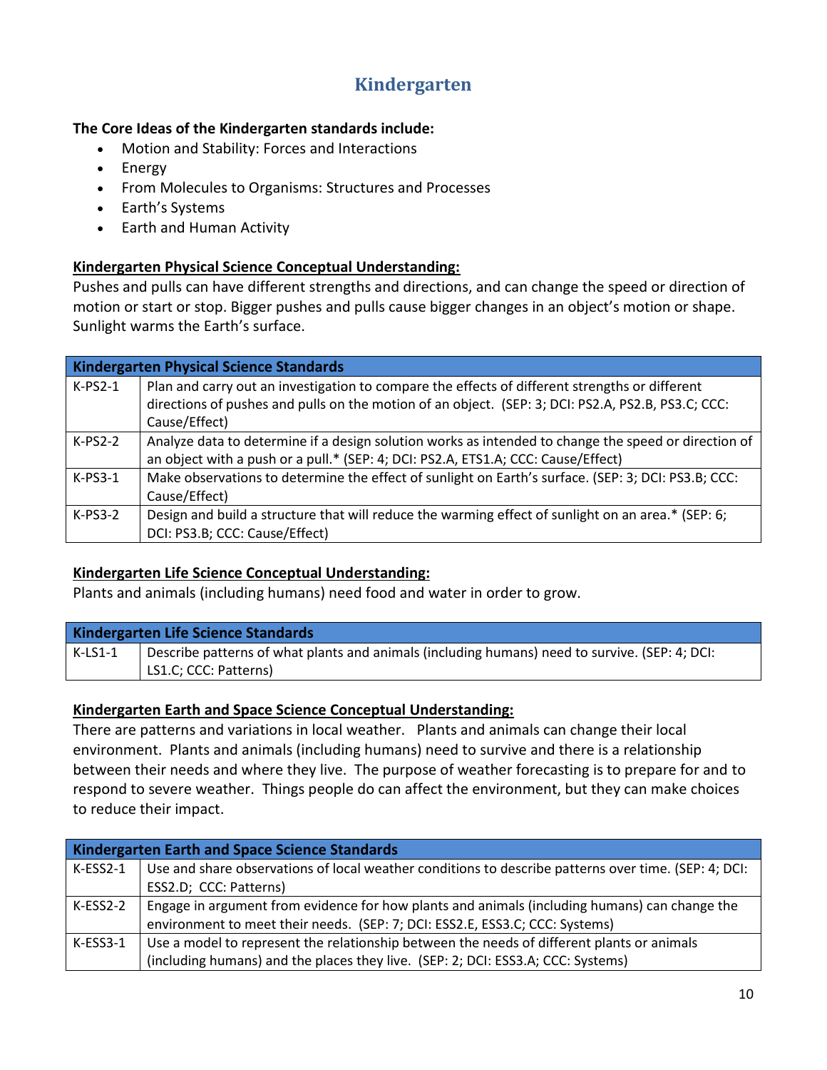### **Kindergarten**

### **The Core Ideas of the Kindergarten standards include:**

- Motion and Stability: Forces and Interactions
- Energy
- From Molecules to Organisms: Structures and Processes
- Earth's Systems
- Earth and Human Activity

### **Kindergarten Physical Science Conceptual Understanding:**

Pushes and pulls can have different strengths and directions, and can change the speed or direction of motion or start or stop. Bigger pushes and pulls cause bigger changes in an object's motion or shape. Sunlight warms the Earth's surface.

|           | <b>Kindergarten Physical Science Standards</b>                                                       |  |
|-----------|------------------------------------------------------------------------------------------------------|--|
| $K-PS2-1$ | Plan and carry out an investigation to compare the effects of different strengths or different       |  |
|           | directions of pushes and pulls on the motion of an object. (SEP: 3; DCI: PS2.A, PS2.B, PS3.C; CCC:   |  |
|           | Cause/Effect)                                                                                        |  |
| $K-PS2-2$ | Analyze data to determine if a design solution works as intended to change the speed or direction of |  |
|           | an object with a push or a pull.* (SEP: 4; DCI: PS2.A, ETS1.A; CCC: Cause/Effect)                    |  |
| $K-PS3-1$ | Make observations to determine the effect of sunlight on Earth's surface. (SEP: 3; DCI: PS3.B; CCC:  |  |
|           | Cause/Effect)                                                                                        |  |
| $K-PS3-2$ | Design and build a structure that will reduce the warming effect of sunlight on an area.* (SEP: 6;   |  |
|           | DCI: PS3.B; CCC: Cause/Effect)                                                                       |  |

### **Kindergarten Life Science Conceptual Understanding:**

Plants and animals (including humans) need food and water in order to grow.

### **Kindergarten Life Science Standards**

K-LS1-1 Describe patterns of what plants and animals (including humans) need to survive. (SEP: 4; DCI: LS1.C; CCC: Patterns)

### **Kindergarten Earth and Space Science Conceptual Understanding:**

There are patterns and variations in local weather. Plants and animals can change their local environment. Plants and animals (including humans) need to survive and there is a relationship between their needs and where they live. The purpose of weather forecasting is to prepare for and to respond to severe weather. Things people do can affect the environment, but they can make choices to reduce their impact.

| <b>Kindergarten Earth and Space Science Standards</b> |                                                                                                      |
|-------------------------------------------------------|------------------------------------------------------------------------------------------------------|
| $K-ESS2-1$                                            | Use and share observations of local weather conditions to describe patterns over time. (SEP: 4; DCI: |
|                                                       | ESS2.D; CCC: Patterns)                                                                               |
| $K-ESS2-2$                                            | Engage in argument from evidence for how plants and animals (including humans) can change the        |
|                                                       | environment to meet their needs. (SEP: 7; DCI: ESS2.E, ESS3.C; CCC: Systems)                         |
| $K$ -ESS3-1                                           | Use a model to represent the relationship between the needs of different plants or animals           |
|                                                       | (including humans) and the places they live. (SEP: 2; DCI: ESS3.A; CCC: Systems)                     |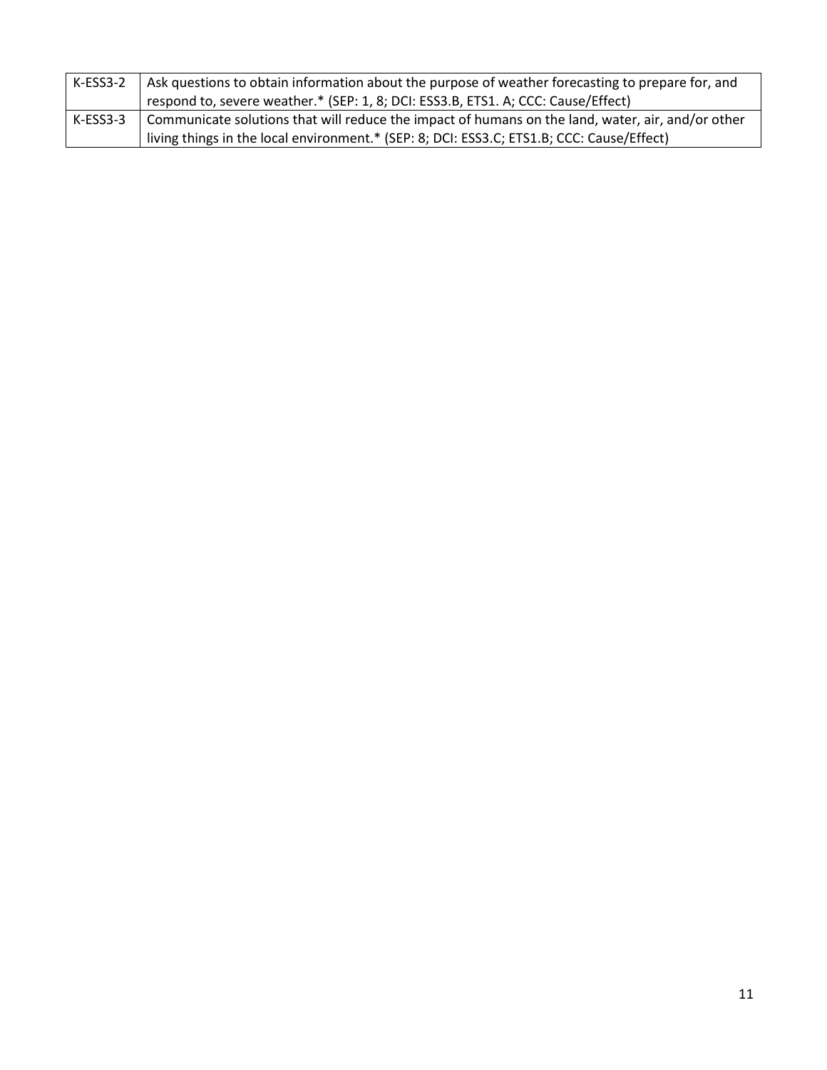| K-ESS3-2 | Ask questions to obtain information about the purpose of weather forecasting to prepare for, and  |
|----------|---------------------------------------------------------------------------------------------------|
|          | respond to, severe weather.* (SEP: 1, 8; DCI: ESS3.B, ETS1. A; CCC: Cause/Effect)                 |
| K-ESS3-3 | Communicate solutions that will reduce the impact of humans on the land, water, air, and/or other |
|          | living things in the local environment.* (SEP: 8; DCI: ESS3.C; ETS1.B; CCC: Cause/Effect)         |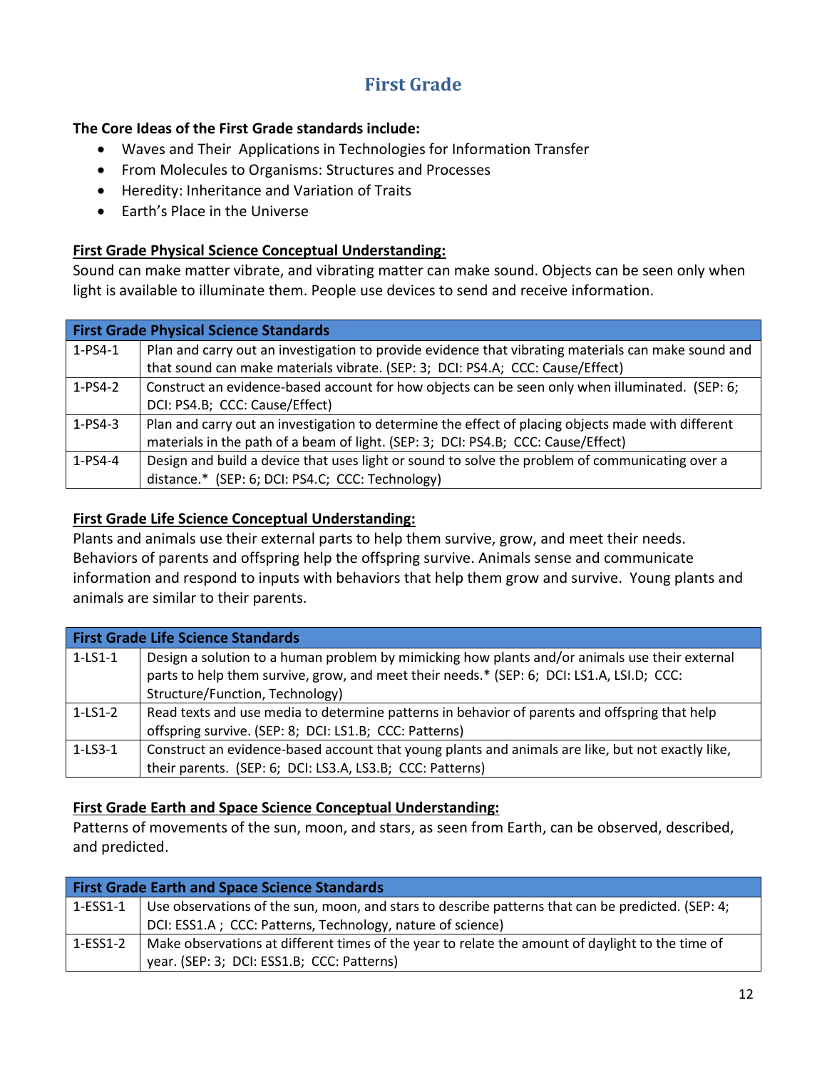## **First Grade**

### **The Core Ideas of the First Grade standards include:**

- Waves and Their Applications in Technologies for Information Transfer
- From Molecules to Organisms: Structures and Processes
- Heredity: Inheritance and Variation of Traits
- Farth's Place in the Universe

### **First Grade Physical Science Conceptual Understanding:**

Sound can make matter vibrate, and vibrating matter can make sound. Objects can be seen only when light is available to illuminate them. People use devices to send and receive information.

|               | <b>First Grade Physical Science Standards</b>                                                       |  |
|---------------|-----------------------------------------------------------------------------------------------------|--|
| $1-PS4-1$     | Plan and carry out an investigation to provide evidence that vibrating materials can make sound and |  |
|               | that sound can make materials vibrate. (SEP: 3; DCI: PS4.A; CCC: Cause/Effect)                      |  |
| $1-PS4-2$     | Construct an evidence-based account for how objects can be seen only when illuminated. (SEP: 6;     |  |
|               | DCI: PS4.B; CCC: Cause/Effect)                                                                      |  |
| $1 - PS4 - 3$ | Plan and carry out an investigation to determine the effect of placing objects made with different  |  |
|               | materials in the path of a beam of light. (SEP: 3; DCI: PS4.B; CCC: Cause/Effect)                   |  |
| $1 - PS4 - 4$ | Design and build a device that uses light or sound to solve the problem of communicating over a     |  |
|               | distance.* (SEP: 6; DCI: PS4.C; CCC: Technology)                                                    |  |

### **First Grade Life Science Conceptual Understanding:**

Plants and animals use their external parts to help them survive, grow, and meet their needs. Behaviors of parents and offspring help the offspring survive. Animals sense and communicate information and respond to inputs with behaviors that help them grow and survive. Young plants and animals are similar to their parents.

|           | <b>First Grade Life Science Standards</b>                                                                                                                                                                                      |  |
|-----------|--------------------------------------------------------------------------------------------------------------------------------------------------------------------------------------------------------------------------------|--|
| $1-LS1-1$ | Design a solution to a human problem by mimicking how plants and/or animals use their external<br>parts to help them survive, grow, and meet their needs.* (SEP: 6; DCI: LS1.A, LSI.D; CCC:<br>Structure/Function, Technology) |  |
| $1-LS1-2$ | Read texts and use media to determine patterns in behavior of parents and offspring that help                                                                                                                                  |  |
|           | offspring survive. (SEP: 8; DCI: LS1.B; CCC: Patterns)                                                                                                                                                                         |  |
| $1-LS3-1$ | Construct an evidence-based account that young plants and animals are like, but not exactly like,                                                                                                                              |  |
|           | their parents. (SEP: 6; DCI: LS3.A, LS3.B; CCC: Patterns)                                                                                                                                                                      |  |

### **First Grade Earth and Space Science Conceptual Understanding:**

Patterns of movements of the sun, moon, and stars, as seen from Earth, can be observed, described, and predicted.

| <b>First Grade Earth and Space Science Standards</b> |                                                                                                   |
|------------------------------------------------------|---------------------------------------------------------------------------------------------------|
| $1-ESS1-1$                                           | Use observations of the sun, moon, and stars to describe patterns that can be predicted. (SEP: 4; |
|                                                      | DCI: ESS1.A ; CCC: Patterns, Technology, nature of science)                                       |
| $1-ESS1-2$                                           | Make observations at different times of the year to relate the amount of daylight to the time of  |
|                                                      | year. (SEP: 3; DCI: ESS1.B; CCC: Patterns)                                                        |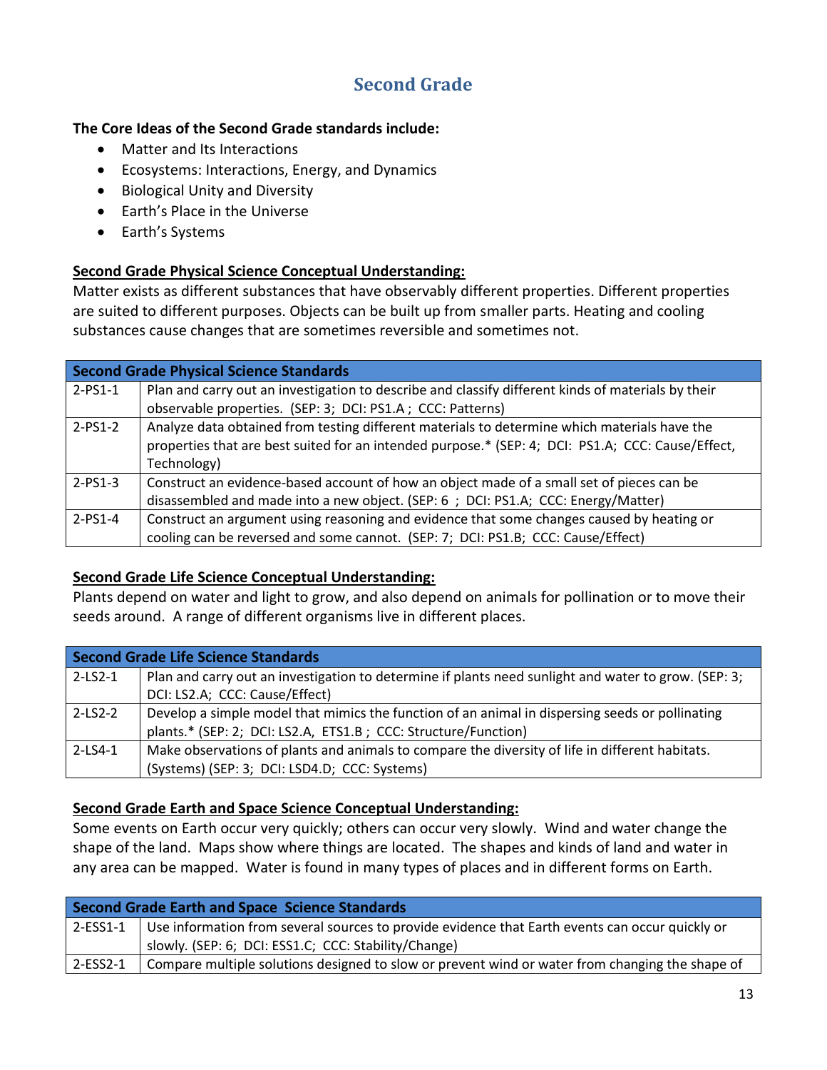### **Second Grade**

### **The Core Ideas of the Second Grade standards include:**

- Matter and Its Interactions
- Ecosystems: Interactions, Energy, and Dynamics
- Biological Unity and Diversity
- Earth's Place in the Universe
- Earth's Systems

### **Second Grade Physical Science Conceptual Understanding:**

Matter exists as different substances that have observably different properties. Different properties are suited to different purposes. Objects can be built up from smaller parts. Heating and cooling substances cause changes that are sometimes reversible and sometimes not.

|           | <b>Second Grade Physical Science Standards</b>                                                     |  |
|-----------|----------------------------------------------------------------------------------------------------|--|
| $2-PS1-1$ | Plan and carry out an investigation to describe and classify different kinds of materials by their |  |
|           | observable properties. (SEP: 3; DCI: PS1.A; CCC: Patterns)                                         |  |
| $2-PS1-2$ | Analyze data obtained from testing different materials to determine which materials have the       |  |
|           | properties that are best suited for an intended purpose.* (SEP: 4; DCI: PS1.A; CCC: Cause/Effect,  |  |
|           | Technology)                                                                                        |  |
| $2-PS1-3$ | Construct an evidence-based account of how an object made of a small set of pieces can be          |  |
|           | disassembled and made into a new object. (SEP: 6 ; DCI: PS1.A; CCC: Energy/Matter)                 |  |
| $2-PS1-4$ | Construct an argument using reasoning and evidence that some changes caused by heating or          |  |
|           | cooling can be reversed and some cannot. (SEP: 7; DCI: PS1.B; CCC: Cause/Effect)                   |  |

### **Second Grade Life Science Conceptual Understanding:**

Plants depend on water and light to grow, and also depend on animals for pollination or to move their seeds around. A range of different organisms live in different places.

| Second Grade Life Science Standards |                                                                                                      |
|-------------------------------------|------------------------------------------------------------------------------------------------------|
| $2-LS2-1$                           | Plan and carry out an investigation to determine if plants need sunlight and water to grow. (SEP: 3; |
|                                     | DCI: LS2.A; CCC: Cause/Effect)                                                                       |
| $2 - LS2 - 2$                       | Develop a simple model that mimics the function of an animal in dispersing seeds or pollinating      |
|                                     | plants.* (SEP: 2; DCI: LS2.A, ETS1.B; CCC: Structure/Function)                                       |
| $2 - LS4 - 1$                       | Make observations of plants and animals to compare the diversity of life in different habitats.      |
|                                     | (Systems) (SEP: 3; DCI: LSD4.D; CCC: Systems)                                                        |

### **Second Grade Earth and Space Science Conceptual Understanding:**

Some events on Earth occur very quickly; others can occur very slowly. Wind and water change the shape of the land. Maps show where things are located. The shapes and kinds of land and water in any area can be mapped. Water is found in many types of places and in different forms on Earth.

| <b>Second Grade Earth and Space Science Standards</b> |                                                                                                                 |
|-------------------------------------------------------|-----------------------------------------------------------------------------------------------------------------|
|                                                       | 2-ESS1-1 $\mid$ Use information from several sources to provide evidence that Earth events can occur quickly or |
|                                                       | slowly. (SEP: 6; DCI: ESS1.C; CCC: Stability/Change)                                                            |
| $2$ -ESS2-1                                           | Compare multiple solutions designed to slow or prevent wind or water from changing the shape of                 |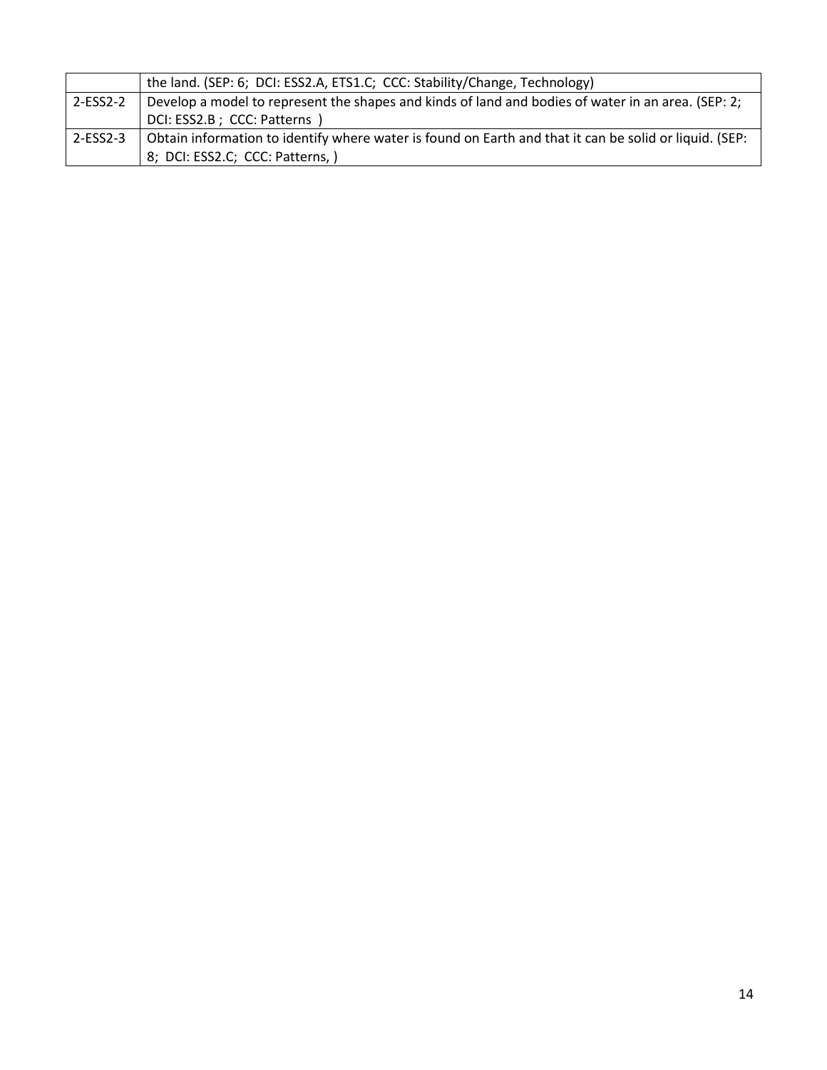|            | the land. (SEP: 6; DCI: ESS2.A, ETS1.C; CCC: Stability/Change, Technology)                             |
|------------|--------------------------------------------------------------------------------------------------------|
| $2-ESS2-2$ | Develop a model to represent the shapes and kinds of land and bodies of water in an area. (SEP: 2;     |
|            | DCI: ESS2.B; CCC: Patterns )                                                                           |
| $2-ESS2-3$ | Obtain information to identify where water is found on Earth and that it can be solid or liquid. (SEP: |
|            | 8; DCI: ESS2.C; CCC: Patterns, )                                                                       |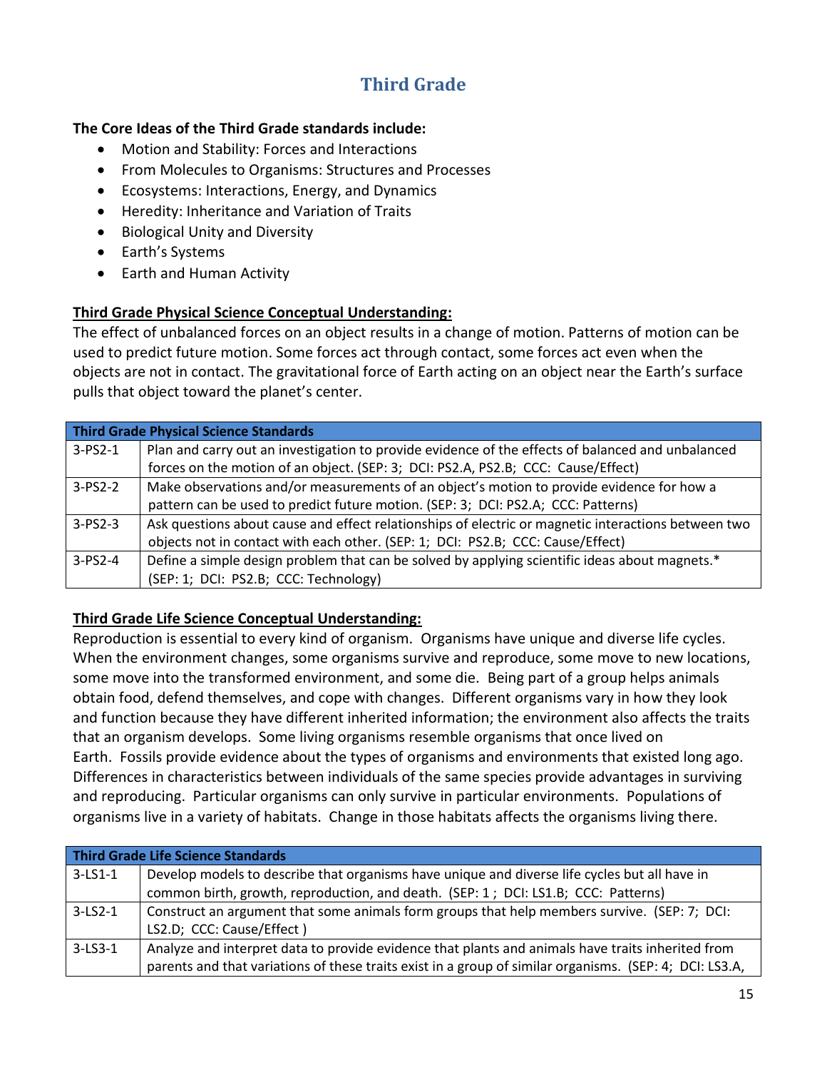## **Third Grade**

### **The Core Ideas of the Third Grade standards include:**

- Motion and Stability: Forces and Interactions
- From Molecules to Organisms: Structures and Processes
- Ecosystems: Interactions, Energy, and Dynamics
- Heredity: Inheritance and Variation of Traits
- Biological Unity and Diversity
- Earth's Systems
- Earth and Human Activity

### **Third Grade Physical Science Conceptual Understanding:**

The effect of unbalanced forces on an object results in a change of motion. Patterns of motion can be used to predict future motion. Some forces act through contact, some forces act even when the objects are not in contact. The gravitational force of Earth acting on an object near the Earth's surface pulls that object toward the planet's center.

|               | Third Grade Physical Science Standards                                                              |  |
|---------------|-----------------------------------------------------------------------------------------------------|--|
| $3-PS2-1$     | Plan and carry out an investigation to provide evidence of the effects of balanced and unbalanced   |  |
|               | forces on the motion of an object. (SEP: 3; DCI: PS2.A, PS2.B; CCC: Cause/Effect)                   |  |
| $3-PS2-2$     | Make observations and/or measurements of an object's motion to provide evidence for how a           |  |
|               | pattern can be used to predict future motion. (SEP: 3; DCI: PS2.A; CCC: Patterns)                   |  |
| $3 - PS2 - 3$ | Ask questions about cause and effect relationships of electric or magnetic interactions between two |  |
|               | objects not in contact with each other. (SEP: 1; DCI: PS2.B; CCC: Cause/Effect)                     |  |
| $3 - PS2 - 4$ | Define a simple design problem that can be solved by applying scientific ideas about magnets.*      |  |
|               | (SEP: 1; DCI: PS2.B; CCC: Technology)                                                               |  |

### **Third Grade Life Science Conceptual Understanding:**

Reproduction is essential to every kind of organism. Organisms have unique and diverse life cycles. When the environment changes, some organisms survive and reproduce, some move to new locations, some move into the transformed environment, and some die. Being part of a group helps animals obtain food, defend themselves, and cope with changes. Different organisms vary in how they look and function because they have different inherited information; the environment also affects the traits that an organism develops. Some living organisms resemble organisms that once lived on Earth. Fossils provide evidence about the types of organisms and environments that existed long ago. Differences in characteristics between individuals of the same species provide advantages in surviving and reproducing. Particular organisms can only survive in particular environments. Populations of organisms live in a variety of habitats. Change in those habitats affects the organisms living there.

| <b>Third Grade Life Science Standards</b> |                                                                                                         |
|-------------------------------------------|---------------------------------------------------------------------------------------------------------|
| $3-LS1-1$                                 | Develop models to describe that organisms have unique and diverse life cycles but all have in           |
|                                           | common birth, growth, reproduction, and death. (SEP: 1; DCI: LS1.B; CCC: Patterns)                      |
| $3-LS2-1$                                 | Construct an argument that some animals form groups that help members survive. (SEP: 7; DCI:            |
|                                           | LS2.D; CCC: Cause/Effect)                                                                               |
| $3 - LS3 - 1$                             | Analyze and interpret data to provide evidence that plants and animals have traits inherited from       |
|                                           | parents and that variations of these traits exist in a group of similar organisms. (SEP: 4; DCI: LS3.A, |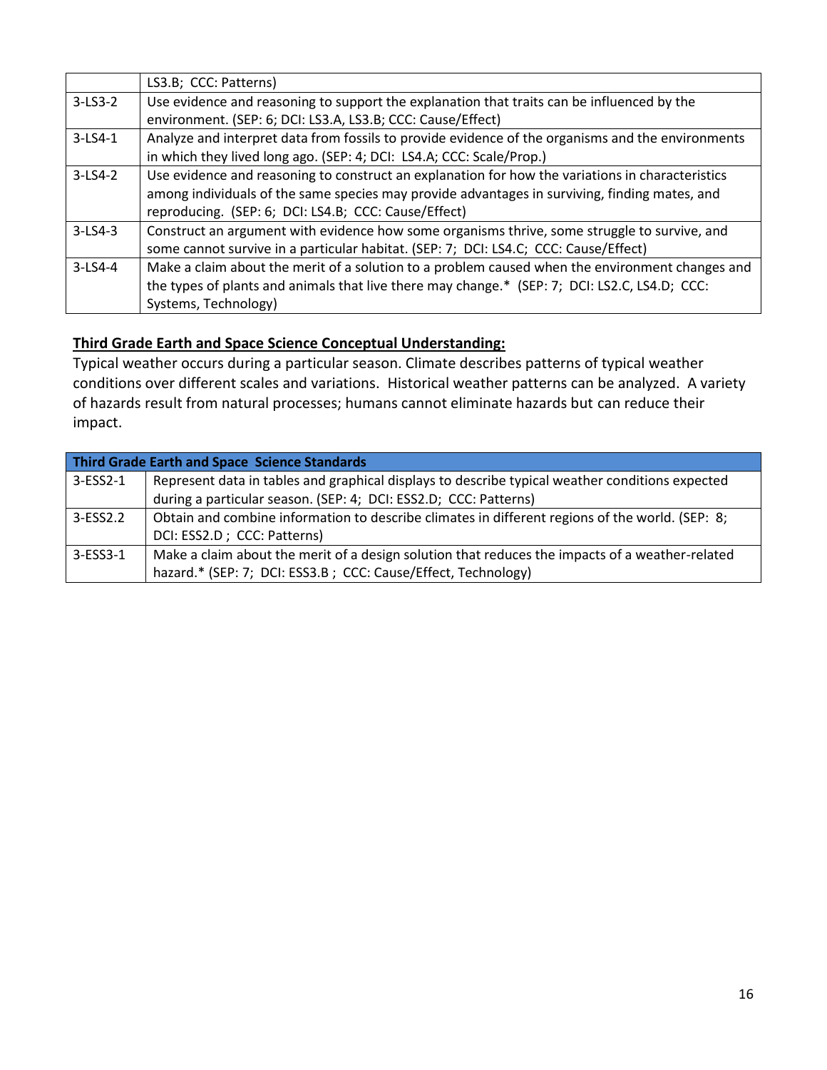|               | LS3.B; CCC: Patterns)                                                                             |
|---------------|---------------------------------------------------------------------------------------------------|
| $3-LS3-2$     | Use evidence and reasoning to support the explanation that traits can be influenced by the        |
|               | environment. (SEP: 6; DCI: LS3.A, LS3.B; CCC: Cause/Effect)                                       |
| $3 - LS4 - 1$ | Analyze and interpret data from fossils to provide evidence of the organisms and the environments |
|               | in which they lived long ago. (SEP: 4; DCI: LS4.A; CCC: Scale/Prop.)                              |
| $3-LS4-2$     | Use evidence and reasoning to construct an explanation for how the variations in characteristics  |
|               | among individuals of the same species may provide advantages in surviving, finding mates, and     |
|               | reproducing. (SEP: 6; DCI: LS4.B; CCC: Cause/Effect)                                              |
| $3-LS4-3$     | Construct an argument with evidence how some organisms thrive, some struggle to survive, and      |
|               | some cannot survive in a particular habitat. (SEP: 7; DCI: LS4.C; CCC: Cause/Effect)              |
| $3-LS4-4$     | Make a claim about the merit of a solution to a problem caused when the environment changes and   |
|               | the types of plants and animals that live there may change.* (SEP: 7; DCI: LS2.C, LS4.D; CCC:     |
|               | Systems, Technology)                                                                              |

### **Third Grade Earth and Space Science Conceptual Understanding:**

Typical weather occurs during a particular season. Climate describes patterns of typical weather conditions over different scales and variations. Historical weather patterns can be analyzed. A variety of hazards result from natural processes; humans cannot eliminate hazards but can reduce their impact.

| Third Grade Earth and Space Science Standards |                                                                                                 |
|-----------------------------------------------|-------------------------------------------------------------------------------------------------|
| 3-ESS2-1                                      | Represent data in tables and graphical displays to describe typical weather conditions expected |
|                                               | during a particular season. (SEP: 4; DCI: ESS2.D; CCC: Patterns)                                |
| 3-ESS2.2                                      | Obtain and combine information to describe climates in different regions of the world. (SEP: 8; |
|                                               | DCI: ESS2.D; CCC: Patterns)                                                                     |
| 3-ESS3-1                                      | Make a claim about the merit of a design solution that reduces the impacts of a weather-related |
|                                               | hazard.* (SEP: 7; DCI: ESS3.B; CCC: Cause/Effect, Technology)                                   |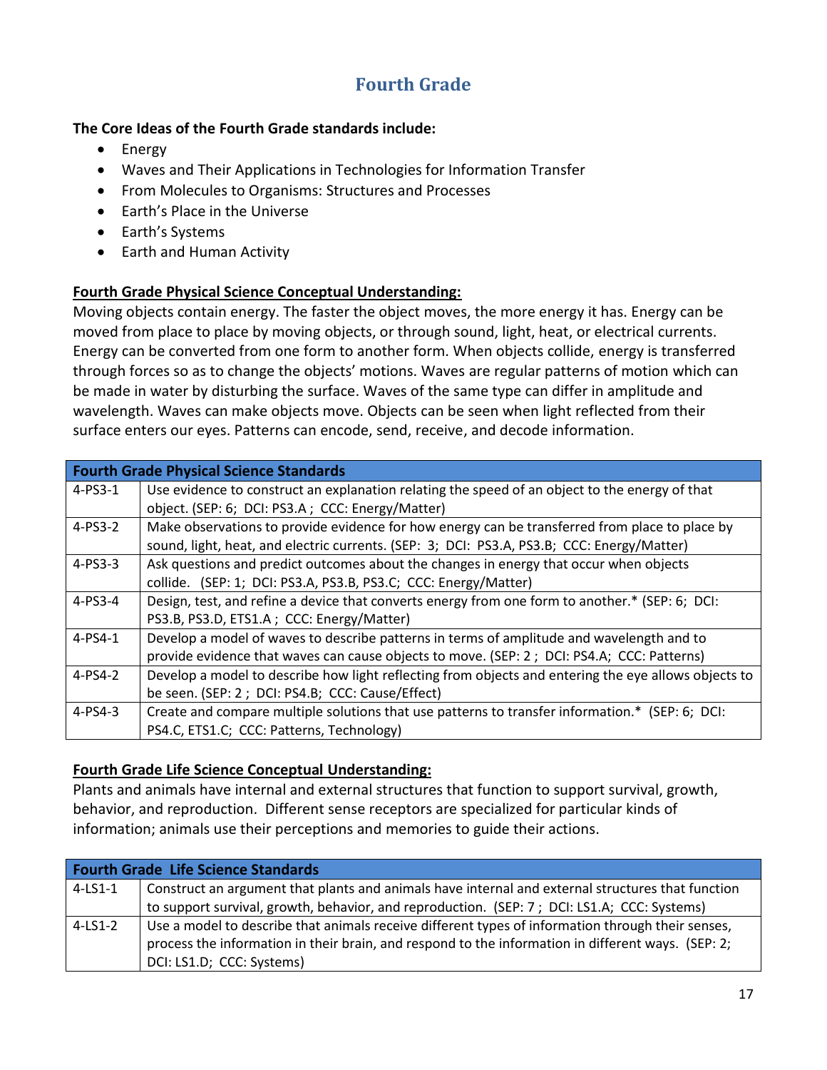## **Fourth Grade**

### **The Core Ideas of the Fourth Grade standards include:**

- Energy
- Waves and Their Applications in Technologies for Information Transfer
- From Molecules to Organisms: Structures and Processes
- Earth's Place in the Universe
- Earth's Systems
- Earth and Human Activity

### **Fourth Grade Physical Science Conceptual Understanding:**

Moving objects contain energy. The faster the object moves, the more energy it has. Energy can be moved from place to place by moving objects, or through sound, light, heat, or electrical currents. Energy can be converted from one form to another form. When objects collide, energy is transferred through forces so as to change the objects' motions. Waves are regular patterns of motion which can be made in water by disturbing the surface. Waves of the same type can differ in amplitude and wavelength. Waves can make objects move. Objects can be seen when light reflected from their surface enters our eyes. Patterns can encode, send, receive, and decode information.

|               | <b>Fourth Grade Physical Science Standards</b>                                                       |
|---------------|------------------------------------------------------------------------------------------------------|
| $4 - PS3 - 1$ | Use evidence to construct an explanation relating the speed of an object to the energy of that       |
|               | object. (SEP: 6; DCI: PS3.A; CCC: Energy/Matter)                                                     |
| $4-PS3-2$     | Make observations to provide evidence for how energy can be transferred from place to place by       |
|               | sound, light, heat, and electric currents. (SEP: 3; DCI: PS3.A, PS3.B; CCC: Energy/Matter)           |
| $4-PS3-3$     | Ask questions and predict outcomes about the changes in energy that occur when objects               |
|               | collide. (SEP: 1; DCI: PS3.A, PS3.B, PS3.C; CCC: Energy/Matter)                                      |
| 4-PS3-4       | Design, test, and refine a device that converts energy from one form to another.* (SEP: 6; DCI:      |
|               | PS3.B, PS3.D, ETS1.A ; CCC: Energy/Matter)                                                           |
| $4 - PS4 - 1$ | Develop a model of waves to describe patterns in terms of amplitude and wavelength and to            |
|               | provide evidence that waves can cause objects to move. (SEP: 2; DCI: PS4.A; CCC: Patterns)           |
| $4-PS4-2$     | Develop a model to describe how light reflecting from objects and entering the eye allows objects to |
|               | be seen. (SEP: 2; DCI: PS4.B; CCC: Cause/Effect)                                                     |
| $4 - PS4 - 3$ | Create and compare multiple solutions that use patterns to transfer information.* (SEP: 6; DCI:      |
|               | PS4.C, ETS1.C; CCC: Patterns, Technology)                                                            |

### **Fourth Grade Life Science Conceptual Understanding:**

Plants and animals have internal and external structures that function to support survival, growth, behavior, and reproduction. Different sense receptors are specialized for particular kinds of information; animals use their perceptions and memories to guide their actions.

| <b>Fourth Grade Life Science Standards</b> |                                                                                                    |
|--------------------------------------------|----------------------------------------------------------------------------------------------------|
| $4$ -LS1-1                                 | Construct an argument that plants and animals have internal and external structures that function  |
|                                            | to support survival, growth, behavior, and reproduction. (SEP: 7; DCI: LS1.A; CCC: Systems)        |
| $4-LS1-2$                                  | Use a model to describe that animals receive different types of information through their senses,  |
|                                            | process the information in their brain, and respond to the information in different ways. (SEP: 2; |
|                                            | DCI: LS1.D; CCC: Systems)                                                                          |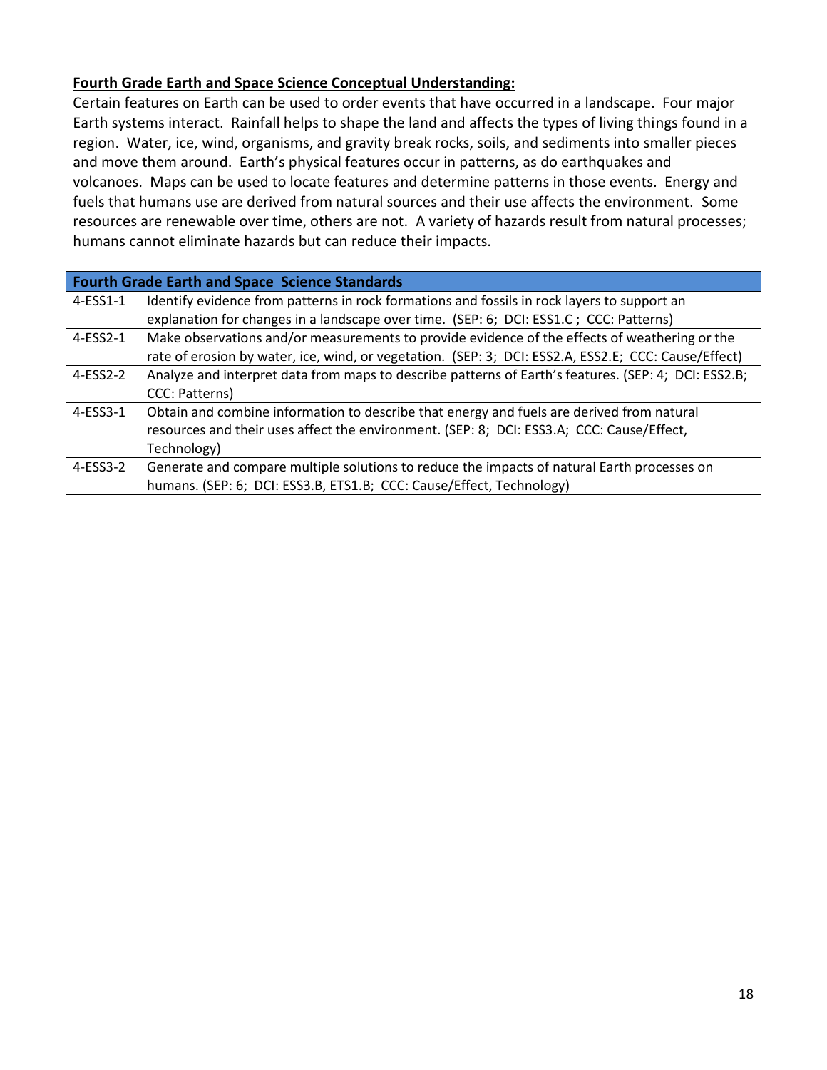### **Fourth Grade Earth and Space Science Conceptual Understanding:**

Certain features on Earth can be used to order events that have occurred in a landscape. Four major Earth systems interact. Rainfall helps to shape the land and affects the types of living things found in a region. Water, ice, wind, organisms, and gravity break rocks, soils, and sediments into smaller pieces and move them around. Earth's physical features occur in patterns, as do earthquakes and volcanoes. Maps can be used to locate features and determine patterns in those events. Energy and fuels that humans use are derived from natural sources and their use affects the environment. Some resources are renewable over time, others are not. A variety of hazards result from natural processes; humans cannot eliminate hazards but can reduce their impacts.

| <b>Fourth Grade Earth and Space Science Standards</b> |                                                                                                      |
|-------------------------------------------------------|------------------------------------------------------------------------------------------------------|
| 4-ESS1-1                                              | Identify evidence from patterns in rock formations and fossils in rock layers to support an          |
|                                                       | explanation for changes in a landscape over time. (SEP: 6; DCI: ESS1.C; CCC: Patterns)               |
| $4-ESS2-1$                                            | Make observations and/or measurements to provide evidence of the effects of weathering or the        |
|                                                       | rate of erosion by water, ice, wind, or vegetation. (SEP: 3; DCI: ESS2.A, ESS2.E; CCC: Cause/Effect) |
| 4-ESS2-2                                              | Analyze and interpret data from maps to describe patterns of Earth's features. (SEP: 4; DCI: ESS2.B; |
|                                                       | CCC: Patterns)                                                                                       |
| $4-ESS3-1$                                            | Obtain and combine information to describe that energy and fuels are derived from natural            |
|                                                       | resources and their uses affect the environment. (SEP: 8; DCI: ESS3.A; CCC: Cause/Effect,            |
|                                                       | Technology)                                                                                          |
| $4-ESS3-2$                                            | Generate and compare multiple solutions to reduce the impacts of natural Earth processes on          |
|                                                       | humans. (SEP: 6; DCI: ESS3.B, ETS1.B; CCC: Cause/Effect, Technology)                                 |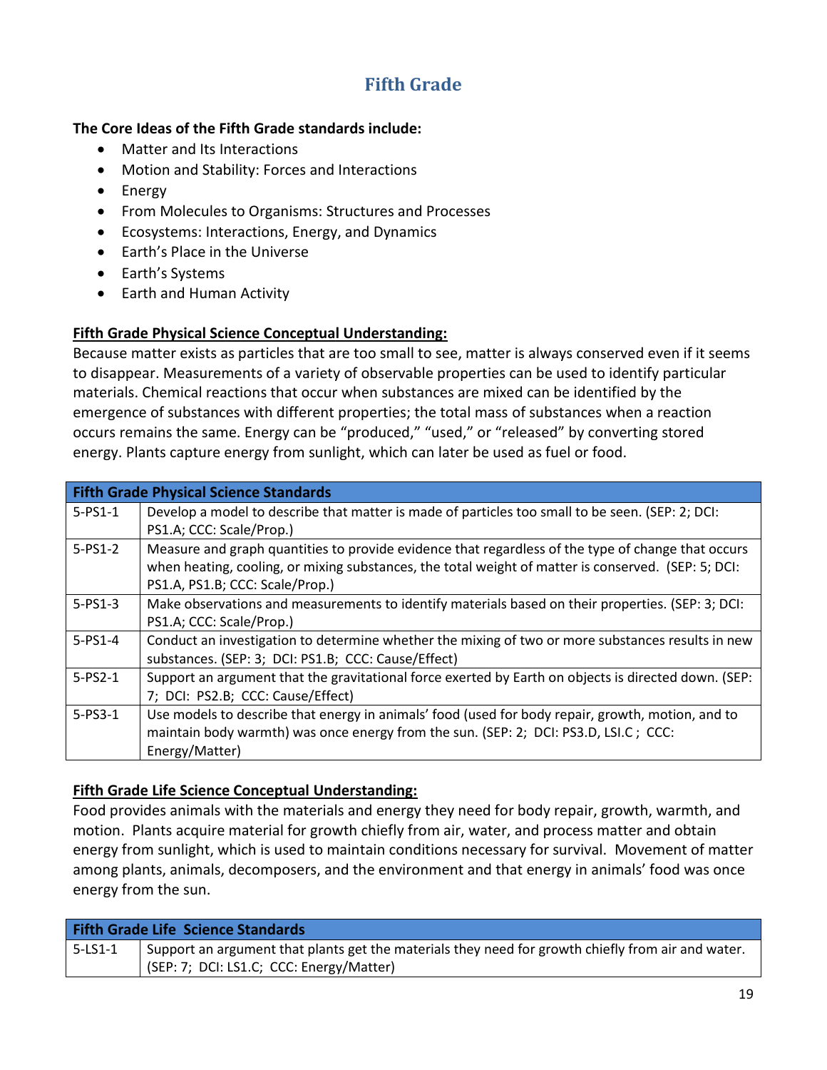### **Fifth Grade**

### **The Core Ideas of the Fifth Grade standards include:**

- Matter and Its Interactions
- Motion and Stability: Forces and Interactions
- Energy
- From Molecules to Organisms: Structures and Processes
- Ecosystems: Interactions, Energy, and Dynamics
- Earth's Place in the Universe
- Earth's Systems
- Earth and Human Activity

### **Fifth Grade Physical Science Conceptual Understanding:**

Because matter exists as particles that are too small to see, matter is always conserved even if it seems to disappear. Measurements of a variety of observable properties can be used to identify particular materials. Chemical reactions that occur when substances are mixed can be identified by the emergence of substances with different properties; the total mass of substances when a reaction occurs remains the same. Energy can be "produced," "used," or "released" by converting stored energy. Plants capture energy from sunlight, which can later be used as fuel or food.

|               | <b>Fifth Grade Physical Science Standards</b>                                                        |  |
|---------------|------------------------------------------------------------------------------------------------------|--|
| $5 - PS1 - 1$ | Develop a model to describe that matter is made of particles too small to be seen. (SEP: 2; DCI:     |  |
|               | PS1.A; CCC: Scale/Prop.)                                                                             |  |
| $5-PS1-2$     | Measure and graph quantities to provide evidence that regardless of the type of change that occurs   |  |
|               | when heating, cooling, or mixing substances, the total weight of matter is conserved. (SEP: 5; DCI:  |  |
|               | PS1.A, PS1.B; CCC: Scale/Prop.)                                                                      |  |
| $5-PS1-3$     | Make observations and measurements to identify materials based on their properties. (SEP: 3; DCI:    |  |
|               | PS1.A; CCC: Scale/Prop.)                                                                             |  |
| $5-PS1-4$     | Conduct an investigation to determine whether the mixing of two or more substances results in new    |  |
|               | substances. (SEP: 3; DCI: PS1.B; CCC: Cause/Effect)                                                  |  |
| $5-PS2-1$     | Support an argument that the gravitational force exerted by Earth on objects is directed down. (SEP: |  |
|               | 7; DCI: PS2.B; CCC: Cause/Effect)                                                                    |  |
| $5 - PS3 - 1$ | Use models to describe that energy in animals' food (used for body repair, growth, motion, and to    |  |
|               | maintain body warmth) was once energy from the sun. (SEP: 2; DCI: PS3.D, LSI.C; CCC:                 |  |
|               | Energy/Matter)                                                                                       |  |

### **Fifth Grade Life Science Conceptual Understanding:**

Food provides animals with the materials and energy they need for body repair, growth, warmth, and motion. Plants acquire material for growth chiefly from air, water, and process matter and obtain energy from sunlight, which is used to maintain conditions necessary for survival. Movement of matter among plants, animals, decomposers, and the environment and that energy in animals' food was once energy from the sun.

| <b>Fifth Grade Life Science Standards</b> |                                                                                                    |
|-------------------------------------------|----------------------------------------------------------------------------------------------------|
| 5-LS1-1                                   | Support an argument that plants get the materials they need for growth chiefly from air and water. |
|                                           | (SEP: 7; DCI: LS1.C; CCC: Energy/Matter)                                                           |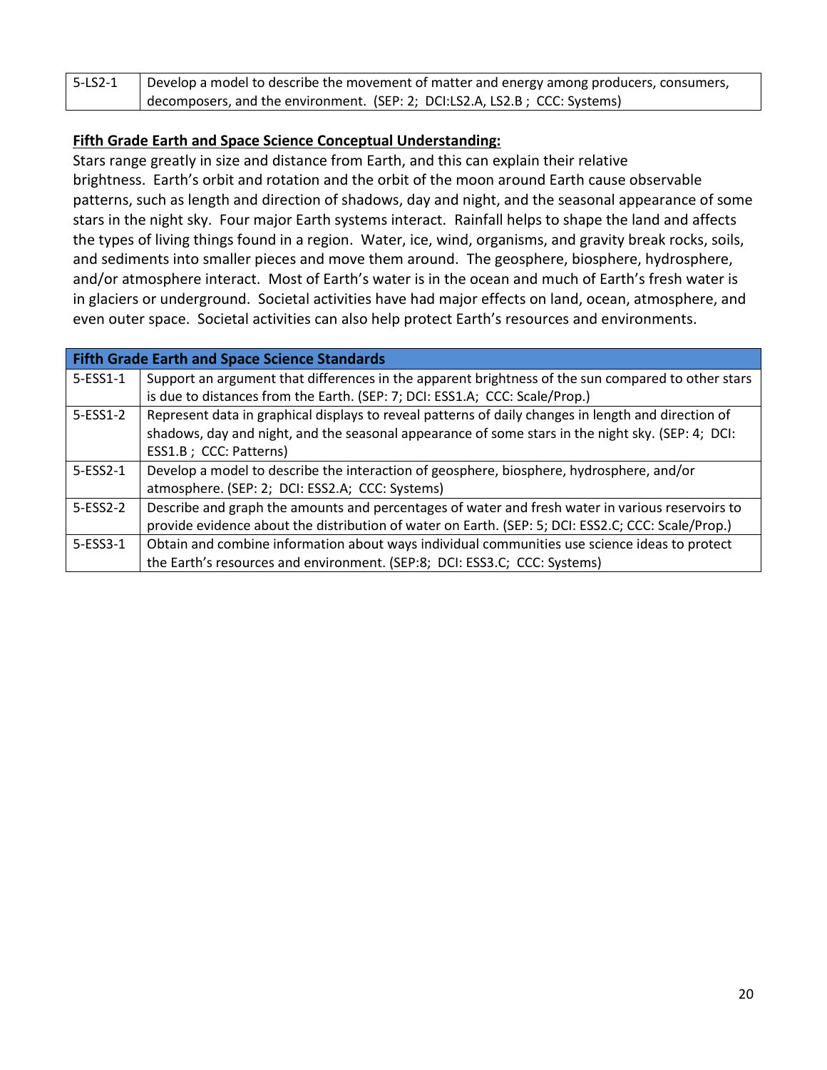| 5-LS2-1 | Develop a model to describe the movement of matter and energy among producers, consumers, |
|---------|-------------------------------------------------------------------------------------------|
|         | decomposers, and the environment. (SEP: 2; DCI:LS2.A, LS2.B; CCC: Systems)                |

### **Fifth Grade Earth and Space Science Conceptual Understanding:**

Stars range greatly in size and distance from Earth, and this can explain their relative brightness. Earth's orbit and rotation and the orbit of the moon around Earth cause observable patterns, such as length and direction of shadows, day and night, and the seasonal appearance of some stars in the night sky. Four major Earth systems interact. Rainfall helps to shape the land and affects the types of living things found in a region. Water, ice, wind, organisms, and gravity break rocks, soils, and sediments into smaller pieces and move them around. The geosphere, biosphere, hydrosphere, and/or atmosphere interact. Most of Earth's water is in the ocean and much of Earth's fresh water is in glaciers or underground. Societal activities have had major effects on land, ocean, atmosphere, and even outer space. Societal activities can also help protect Earth's resources and environments.

| <b>Fifth Grade Earth and Space Science Standards</b> |                                                                                                     |
|------------------------------------------------------|-----------------------------------------------------------------------------------------------------|
| 5-ESS1-1                                             | Support an argument that differences in the apparent brightness of the sun compared to other stars  |
|                                                      | is due to distances from the Earth. (SEP: 7; DCI: ESS1.A; CCC: Scale/Prop.)                         |
| 5-ESS1-2                                             | Represent data in graphical displays to reveal patterns of daily changes in length and direction of |
|                                                      | shadows, day and night, and the seasonal appearance of some stars in the night sky. (SEP: 4; DCI:   |
|                                                      | ESS1.B; CCC: Patterns)                                                                              |
| 5-ESS2-1                                             | Develop a model to describe the interaction of geosphere, biosphere, hydrosphere, and/or            |
|                                                      | atmosphere. (SEP: 2; DCI: ESS2.A; CCC: Systems)                                                     |
| 5-ESS2-2                                             | Describe and graph the amounts and percentages of water and fresh water in various reservoirs to    |
|                                                      | provide evidence about the distribution of water on Earth. (SEP: 5; DCI: ESS2.C; CCC: Scale/Prop.)  |
| 5-ESS3-1                                             | Obtain and combine information about ways individual communities use science ideas to protect       |
|                                                      | the Earth's resources and environment. (SEP:8; DCI: ESS3.C; CCC: Systems)                           |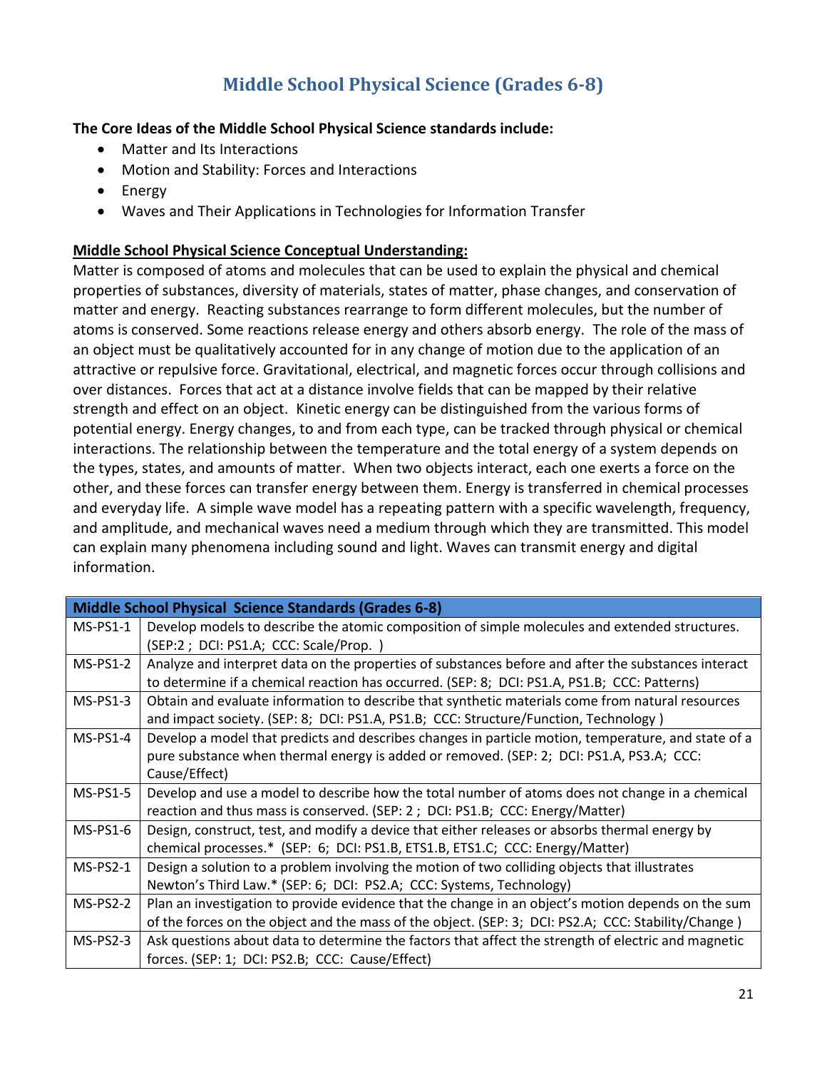## **Middle School Physical Science (Grades 6-8)**

### **The Core Ideas of the Middle School Physical Science standards include:**

- Matter and Its Interactions
- Motion and Stability: Forces and Interactions
- Energy
- Waves and Their Applications in Technologies for Information Transfer

### **Middle School Physical Science Conceptual Understanding:**

Matter is composed of atoms and molecules that can be used to explain the physical and chemical properties of substances, diversity of materials, states of matter, phase changes, and conservation of matter and energy. Reacting substances rearrange to form different molecules, but the number of atoms is conserved. Some reactions release energy and others absorb energy. The role of the mass of an object must be qualitatively accounted for in any change of motion due to the application of an attractive or repulsive force. Gravitational, electrical, and magnetic forces occur through collisions and over distances. Forces that act at a distance involve fields that can be mapped by their relative strength and effect on an object. Kinetic energy can be distinguished from the various forms of potential energy. Energy changes, to and from each type, can be tracked through physical or chemical interactions. The relationship between the temperature and the total energy of a system depends on the types, states, and amounts of matter. When two objects interact, each one exerts a force on the other, and these forces can transfer energy between them. Energy is transferred in chemical processes and everyday life. A simple wave model has a repeating pattern with a specific wavelength, frequency, and amplitude, and mechanical waves need a medium through which they are transmitted. This model can explain many phenomena including sound and light. Waves can transmit energy and digital information.

| <b>Middle School Physical Science Standards (Grades 6-8)</b> |                                                                                                     |
|--------------------------------------------------------------|-----------------------------------------------------------------------------------------------------|
| $MS-PS1-1$                                                   | Develop models to describe the atomic composition of simple molecules and extended structures.      |
|                                                              | (SEP:2; DCI: PS1.A; CCC: Scale/Prop.)                                                               |
| $MS-PS1-2$                                                   | Analyze and interpret data on the properties of substances before and after the substances interact |
|                                                              | to determine if a chemical reaction has occurred. (SEP: 8; DCI: PS1.A, PS1.B; CCC: Patterns)        |
| $MS-PS1-3$                                                   | Obtain and evaluate information to describe that synthetic materials come from natural resources    |
|                                                              | and impact society. (SEP: 8; DCI: PS1.A, PS1.B; CCC: Structure/Function, Technology)                |
| $MS-PS1-4$                                                   | Develop a model that predicts and describes changes in particle motion, temperature, and state of a |
|                                                              | pure substance when thermal energy is added or removed. (SEP: 2; DCI: PS1.A, PS3.A; CCC:            |
|                                                              | Cause/Effect)                                                                                       |
| $MS-PS1-5$                                                   | Develop and use a model to describe how the total number of atoms does not change in a chemical     |
|                                                              | reaction and thus mass is conserved. (SEP: 2; DCI: PS1.B; CCC: Energy/Matter)                       |
| $MS-PS1-6$                                                   | Design, construct, test, and modify a device that either releases or absorbs thermal energy by      |
|                                                              | chemical processes.* (SEP: 6; DCI: PS1.B, ETS1.B, ETS1.C; CCC: Energy/Matter)                       |
| $MS-PS2-1$                                                   | Design a solution to a problem involving the motion of two colliding objects that illustrates       |
|                                                              | Newton's Third Law.* (SEP: 6; DCI: PS2.A; CCC: Systems, Technology)                                 |
| $MS-PS2-2$                                                   | Plan an investigation to provide evidence that the change in an object's motion depends on the sum  |
|                                                              | of the forces on the object and the mass of the object. (SEP: 3; DCI: PS2.A; CCC: Stability/Change) |
| $MS-PS2-3$                                                   | Ask questions about data to determine the factors that affect the strength of electric and magnetic |
|                                                              | forces. (SEP: 1; DCI: PS2.B; CCC: Cause/Effect)                                                     |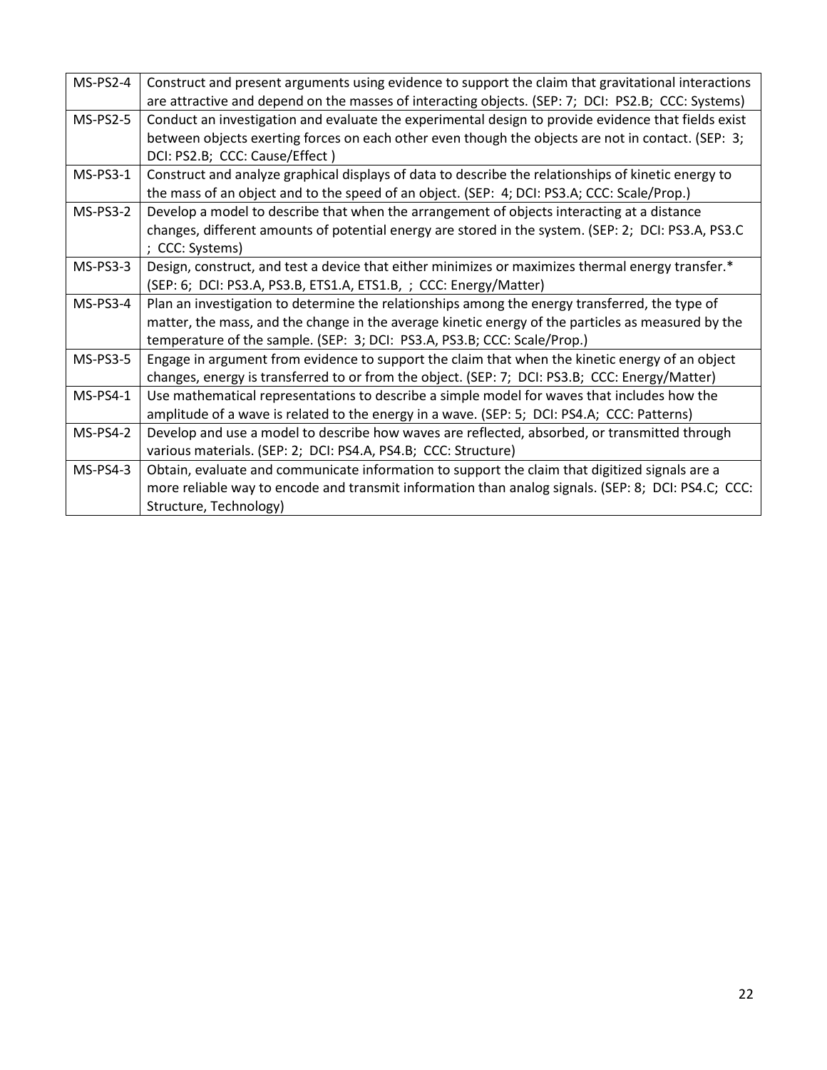| $MS-PS2-4$      | Construct and present arguments using evidence to support the claim that gravitational interactions |
|-----------------|-----------------------------------------------------------------------------------------------------|
|                 | are attractive and depend on the masses of interacting objects. (SEP: 7; DCI: PS2.B; CCC: Systems)  |
| <b>MS-PS2-5</b> | Conduct an investigation and evaluate the experimental design to provide evidence that fields exist |
|                 | between objects exerting forces on each other even though the objects are not in contact. (SEP: 3;  |
|                 | DCI: PS2.B; CCC: Cause/Effect)                                                                      |
| $MS-PS3-1$      | Construct and analyze graphical displays of data to describe the relationships of kinetic energy to |
|                 | the mass of an object and to the speed of an object. (SEP: 4; DCI: PS3.A; CCC: Scale/Prop.)         |
| <b>MS-PS3-2</b> | Develop a model to describe that when the arrangement of objects interacting at a distance          |
|                 | changes, different amounts of potential energy are stored in the system. (SEP: 2; DCI: PS3.A, PS3.C |
|                 | ; CCC: Systems)                                                                                     |
| $MS-PS3-3$      | Design, construct, and test a device that either minimizes or maximizes thermal energy transfer.*   |
|                 | (SEP: 6; DCI: PS3.A, PS3.B, ETS1.A, ETS1.B, ; CCC: Energy/Matter)                                   |
| MS-PS3-4        | Plan an investigation to determine the relationships among the energy transferred, the type of      |
|                 | matter, the mass, and the change in the average kinetic energy of the particles as measured by the  |
|                 | temperature of the sample. (SEP: 3; DCI: PS3.A, PS3.B; CCC: Scale/Prop.)                            |
| <b>MS-PS3-5</b> | Engage in argument from evidence to support the claim that when the kinetic energy of an object     |
|                 | changes, energy is transferred to or from the object. (SEP: 7; DCI: PS3.B; CCC: Energy/Matter)      |
| $MS-PS4-1$      | Use mathematical representations to describe a simple model for waves that includes how the         |
|                 | amplitude of a wave is related to the energy in a wave. (SEP: 5; DCI: PS4.A; CCC: Patterns)         |
| <b>MS-PS4-2</b> | Develop and use a model to describe how waves are reflected, absorbed, or transmitted through       |
|                 | various materials. (SEP: 2; DCI: PS4.A, PS4.B; CCC: Structure)                                      |
| $MS-PS4-3$      | Obtain, evaluate and communicate information to support the claim that digitized signals are a      |
|                 | more reliable way to encode and transmit information than analog signals. (SEP: 8; DCI: PS4.C; CCC: |
|                 | Structure, Technology)                                                                              |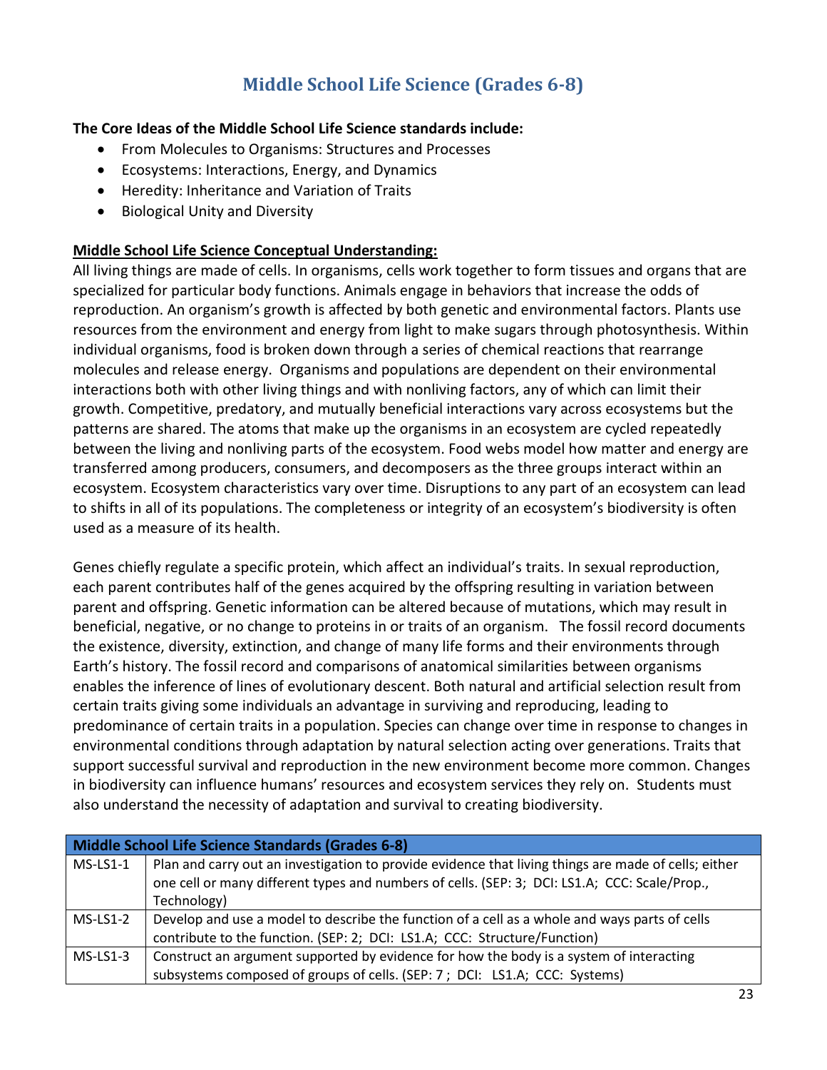## **Middle School Life Science (Grades 6-8)**

### **The Core Ideas of the Middle School Life Science standards include:**

- From Molecules to Organisms: Structures and Processes
- Ecosystems: Interactions, Energy, and Dynamics
- Heredity: Inheritance and Variation of Traits
- Biological Unity and Diversity

### **Middle School Life Science Conceptual Understanding:**

All living things are made of cells. In organisms, cells work together to form tissues and organs that are specialized for particular body functions. Animals engage in behaviors that increase the odds of reproduction. An organism's growth is affected by both genetic and environmental factors. Plants use resources from the environment and energy from light to make sugars through photosynthesis. Within individual organisms, food is broken down through a series of chemical reactions that rearrange molecules and release energy. Organisms and populations are dependent on their environmental interactions both with other living things and with nonliving factors, any of which can limit their growth. Competitive, predatory, and mutually beneficial interactions vary across ecosystems but the patterns are shared. The atoms that make up the organisms in an ecosystem are cycled repeatedly between the living and nonliving parts of the ecosystem. Food webs model how matter and energy are transferred among producers, consumers, and decomposers as the three groups interact within an ecosystem. Ecosystem characteristics vary over time. Disruptions to any part of an ecosystem can lead to shifts in all of its populations. The completeness or integrity of an ecosystem's biodiversity is often used as a measure of its health.

Genes chiefly regulate a specific protein, which affect an individual's traits. In sexual reproduction, each parent contributes half of the genes acquired by the offspring resulting in variation between parent and offspring. Genetic information can be altered because of mutations, which may result in beneficial, negative, or no change to proteins in or traits of an organism. The fossil record documents the existence, diversity, extinction, and change of many life forms and their environments through Earth's history. The fossil record and comparisons of anatomical similarities between organisms enables the inference of lines of evolutionary descent. Both natural and artificial selection result from certain traits giving some individuals an advantage in surviving and reproducing, leading to predominance of certain traits in a population. Species can change over time in response to changes in environmental conditions through adaptation by natural selection acting over generations. Traits that support successful survival and reproduction in the new environment become more common. Changes in biodiversity can influence humans' resources and ecosystem services they rely on. Students must also understand the necessity of adaptation and survival to creating biodiversity.

| Middle School Life Science Standards (Grades 6-8) |                                                                                                                                                                                                                      |
|---------------------------------------------------|----------------------------------------------------------------------------------------------------------------------------------------------------------------------------------------------------------------------|
| $MS-LS1-1$                                        | Plan and carry out an investigation to provide evidence that living things are made of cells; either<br>one cell or many different types and numbers of cells. (SEP: 3; DCI: LS1.A; CCC: Scale/Prop.,<br>Technology) |
| $MS-LS1-2$                                        | Develop and use a model to describe the function of a cell as a whole and ways parts of cells<br>contribute to the function. (SEP: 2; DCI: LS1.A; CCC: Structure/Function)                                           |
| $MS-LS1-3$                                        | Construct an argument supported by evidence for how the body is a system of interacting<br>subsystems composed of groups of cells. (SEP: 7; DCI: LS1.A; CCC: Systems)                                                |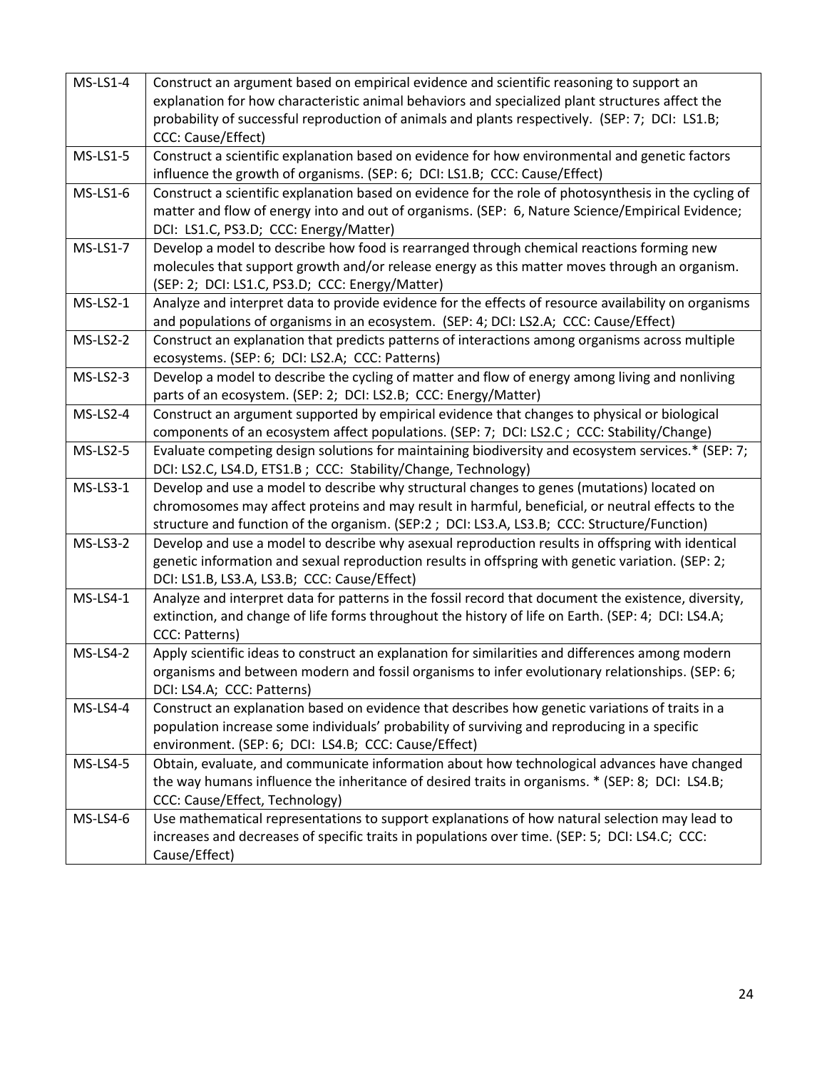| $MS-LS1-4$      | Construct an argument based on empirical evidence and scientific reasoning to support an<br>explanation for how characteristic animal behaviors and specialized plant structures affect the<br>probability of successful reproduction of animals and plants respectively. (SEP: 7; DCI: LS1.B;<br>CCC: Cause/Effect) |
|-----------------|----------------------------------------------------------------------------------------------------------------------------------------------------------------------------------------------------------------------------------------------------------------------------------------------------------------------|
| MS-LS1-5        | Construct a scientific explanation based on evidence for how environmental and genetic factors<br>influence the growth of organisms. (SEP: 6; DCI: LS1.B; CCC: Cause/Effect)                                                                                                                                         |
| MS-LS1-6        | Construct a scientific explanation based on evidence for the role of photosynthesis in the cycling of<br>matter and flow of energy into and out of organisms. (SEP: 6, Nature Science/Empirical Evidence;<br>DCI: LS1.C, PS3.D; CCC: Energy/Matter)                                                                  |
| <b>MS-LS1-7</b> | Develop a model to describe how food is rearranged through chemical reactions forming new<br>molecules that support growth and/or release energy as this matter moves through an organism.<br>(SEP: 2; DCI: LS1.C, PS3.D; CCC: Energy/Matter)                                                                        |
| $MS-LS2-1$      | Analyze and interpret data to provide evidence for the effects of resource availability on organisms<br>and populations of organisms in an ecosystem. (SEP: 4; DCI: LS2.A; CCC: Cause/Effect)                                                                                                                        |
| MS-LS2-2        | Construct an explanation that predicts patterns of interactions among organisms across multiple<br>ecosystems. (SEP: 6; DCI: LS2.A; CCC: Patterns)                                                                                                                                                                   |
| $MS-LS2-3$      | Develop a model to describe the cycling of matter and flow of energy among living and nonliving<br>parts of an ecosystem. (SEP: 2; DCI: LS2.B; CCC: Energy/Matter)                                                                                                                                                   |
| MS-LS2-4        | Construct an argument supported by empirical evidence that changes to physical or biological<br>components of an ecosystem affect populations. (SEP: 7; DCI: LS2.C; CCC: Stability/Change)                                                                                                                           |
| <b>MS-LS2-5</b> | Evaluate competing design solutions for maintaining biodiversity and ecosystem services.* (SEP: 7;<br>DCI: LS2.C, LS4.D, ETS1.B ; CCC: Stability/Change, Technology)                                                                                                                                                 |
| $MS-LS3-1$      | Develop and use a model to describe why structural changes to genes (mutations) located on<br>chromosomes may affect proteins and may result in harmful, beneficial, or neutral effects to the<br>structure and function of the organism. (SEP:2; DCI: LS3.A, LS3.B; CCC: Structure/Function)                        |
| <b>MS-LS3-2</b> | Develop and use a model to describe why asexual reproduction results in offspring with identical<br>genetic information and sexual reproduction results in offspring with genetic variation. (SEP: 2;<br>DCI: LS1.B, LS3.A, LS3.B; CCC: Cause/Effect)                                                                |
| $MS-LS4-1$      | Analyze and interpret data for patterns in the fossil record that document the existence, diversity,<br>extinction, and change of life forms throughout the history of life on Earth. (SEP: 4; DCI: LS4.A;<br>CCC: Patterns)                                                                                         |
| <b>MS-LS4-2</b> | Apply scientific ideas to construct an explanation for similarities and differences among modern<br>organisms and between modern and fossil organisms to infer evolutionary relationships. (SEP: 6;<br>DCI: LS4.A; CCC: Patterns)                                                                                    |
| MS-LS4-4        | Construct an explanation based on evidence that describes how genetic variations of traits in a<br>population increase some individuals' probability of surviving and reproducing in a specific<br>environment. (SEP: 6; DCI: LS4.B; CCC: Cause/Effect)                                                              |
| <b>MS-LS4-5</b> | Obtain, evaluate, and communicate information about how technological advances have changed<br>the way humans influence the inheritance of desired traits in organisms. * (SEP: 8; DCI: LS4.B;<br>CCC: Cause/Effect, Technology)                                                                                     |
| MS-LS4-6        | Use mathematical representations to support explanations of how natural selection may lead to<br>increases and decreases of specific traits in populations over time. (SEP: 5; DCI: LS4.C; CCC:<br>Cause/Effect)                                                                                                     |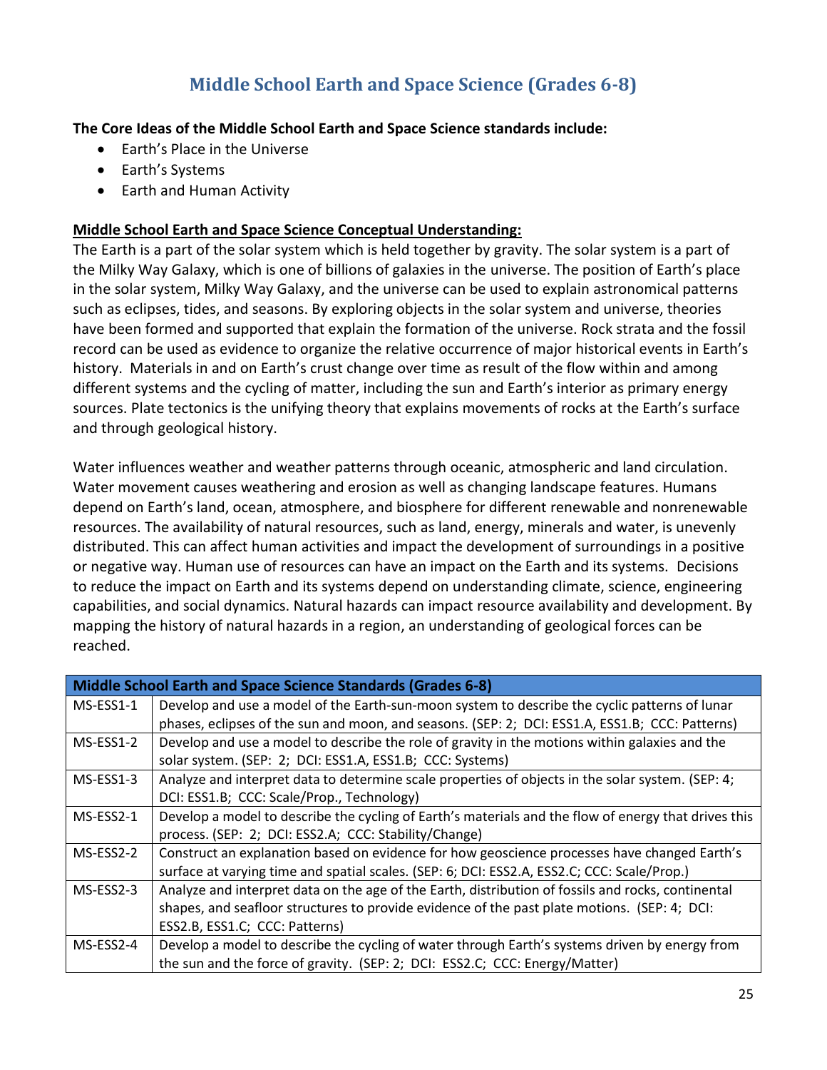### **Middle School Earth and Space Science (Grades 6-8)**

### **The Core Ideas of the Middle School Earth and Space Science standards include:**

- Earth's Place in the Universe
- Earth's Systems
- Earth and Human Activity

### **Middle School Earth and Space Science Conceptual Understanding:**

The Earth is a part of the solar system which is held together by gravity. The solar system is a part of the Milky Way Galaxy, which is one of billions of galaxies in the universe. The position of Earth's place in the solar system, Milky Way Galaxy, and the universe can be used to explain astronomical patterns such as eclipses, tides, and seasons. By exploring objects in the solar system and universe, theories have been formed and supported that explain the formation of the universe. Rock strata and the fossil record can be used as evidence to organize the relative occurrence of major historical events in Earth's history. Materials in and on Earth's crust change over time as result of the flow within and among different systems and the cycling of matter, including the sun and Earth's interior as primary energy sources. Plate tectonics is the unifying theory that explains movements of rocks at the Earth's surface and through geological history.

Water influences weather and weather patterns through oceanic, atmospheric and land circulation. Water movement causes weathering and erosion as well as changing landscape features. Humans depend on Earth's land, ocean, atmosphere, and biosphere for different renewable and nonrenewable resources. The availability of natural resources, such as land, energy, minerals and water, is unevenly distributed. This can affect human activities and impact the development of surroundings in a positive or negative way. Human use of resources can have an impact on the Earth and its systems. Decisions to reduce the impact on Earth and its systems depend on understanding climate, science, engineering capabilities, and social dynamics. Natural hazards can impact resource availability and development. By mapping the history of natural hazards in a region, an understanding of geological forces can be reached.

| <b>Middle School Earth and Space Science Standards (Grades 6-8)</b> |                                                                                                      |
|---------------------------------------------------------------------|------------------------------------------------------------------------------------------------------|
| MS-ESS1-1                                                           | Develop and use a model of the Earth-sun-moon system to describe the cyclic patterns of lunar        |
|                                                                     | phases, eclipses of the sun and moon, and seasons. (SEP: 2; DCI: ESS1.A, ESS1.B; CCC: Patterns)      |
| MS-ESS1-2                                                           | Develop and use a model to describe the role of gravity in the motions within galaxies and the       |
|                                                                     | solar system. (SEP: 2; DCI: ESS1.A, ESS1.B; CCC: Systems)                                            |
| MS-ESS1-3                                                           | Analyze and interpret data to determine scale properties of objects in the solar system. (SEP: 4;    |
|                                                                     | DCI: ESS1.B; CCC: Scale/Prop., Technology)                                                           |
| MS-ESS2-1                                                           | Develop a model to describe the cycling of Earth's materials and the flow of energy that drives this |
|                                                                     | process. (SEP: 2; DCI: ESS2.A; CCC: Stability/Change)                                                |
| MS-ESS2-2                                                           | Construct an explanation based on evidence for how geoscience processes have changed Earth's         |
|                                                                     | surface at varying time and spatial scales. (SEP: 6; DCI: ESS2.A, ESS2.C; CCC: Scale/Prop.)          |
| MS-ESS2-3                                                           | Analyze and interpret data on the age of the Earth, distribution of fossils and rocks, continental   |
|                                                                     | shapes, and seafloor structures to provide evidence of the past plate motions. (SEP: 4; DCI:         |
|                                                                     | ESS2.B, ESS1.C; CCC: Patterns)                                                                       |
| MS-ESS2-4                                                           | Develop a model to describe the cycling of water through Earth's systems driven by energy from       |
|                                                                     | the sun and the force of gravity. (SEP: 2; DCI: ESS2.C; CCC: Energy/Matter)                          |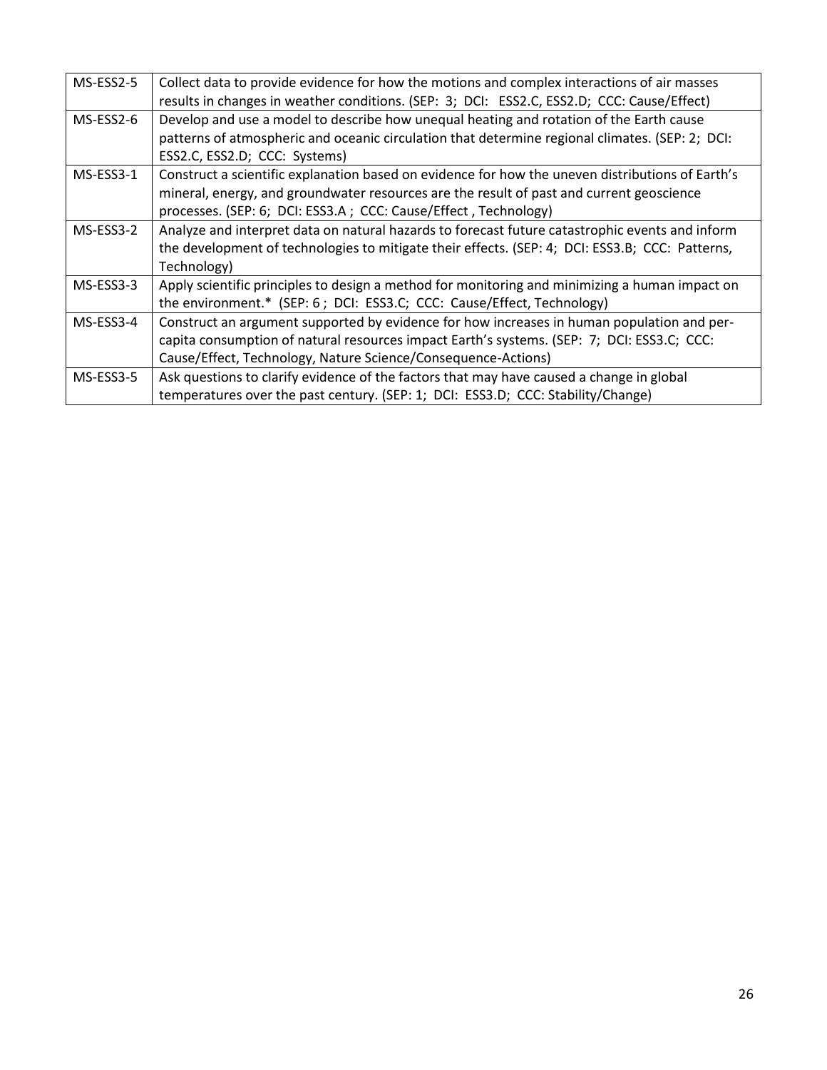| MS-ESS2-5 | Collect data to provide evidence for how the motions and complex interactions of air masses      |
|-----------|--------------------------------------------------------------------------------------------------|
|           | results in changes in weather conditions. (SEP: 3; DCI: ESS2.C, ESS2.D; CCC: Cause/Effect)       |
| MS-ESS2-6 | Develop and use a model to describe how unequal heating and rotation of the Earth cause          |
|           | patterns of atmospheric and oceanic circulation that determine regional climates. (SEP: 2; DCI:  |
|           | ESS2.C, ESS2.D; CCC: Systems)                                                                    |
| MS-ESS3-1 | Construct a scientific explanation based on evidence for how the uneven distributions of Earth's |
|           | mineral, energy, and groundwater resources are the result of past and current geoscience         |
|           | processes. (SEP: 6; DCI: ESS3.A; CCC: Cause/Effect, Technology)                                  |
| MS-ESS3-2 | Analyze and interpret data on natural hazards to forecast future catastrophic events and inform  |
|           | the development of technologies to mitigate their effects. (SEP: 4; DCI: ESS3.B; CCC: Patterns,  |
|           | Technology)                                                                                      |
| MS-ESS3-3 | Apply scientific principles to design a method for monitoring and minimizing a human impact on   |
|           | the environment.* (SEP: 6; DCI: ESS3.C; CCC: Cause/Effect, Technology)                           |
| MS-ESS3-4 | Construct an argument supported by evidence for how increases in human population and per-       |
|           | capita consumption of natural resources impact Earth's systems. (SEP: 7; DCI: ESS3.C; CCC:       |
|           | Cause/Effect, Technology, Nature Science/Consequence-Actions)                                    |
| MS-ESS3-5 | Ask questions to clarify evidence of the factors that may have caused a change in global         |
|           | temperatures over the past century. (SEP: 1; DCI: ESS3.D; CCC: Stability/Change)                 |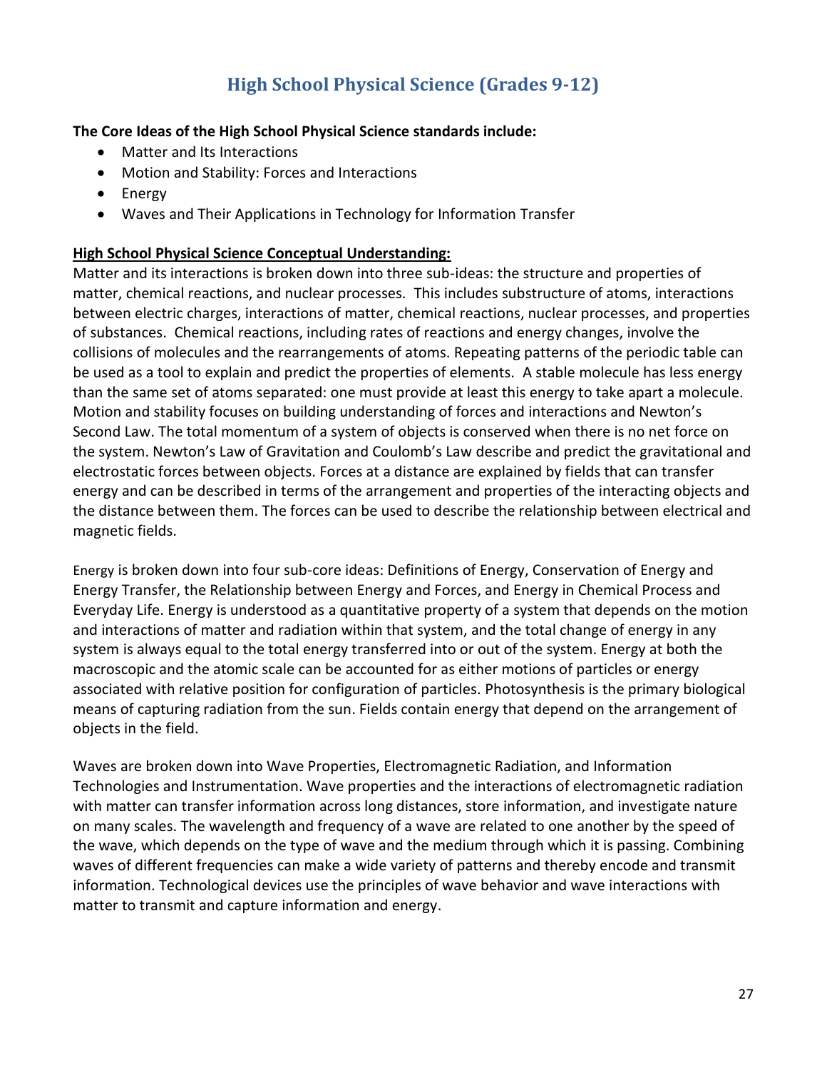## **High School Physical Science (Grades 9-12)**

### **The Core Ideas of the High School Physical Science standards include:**

- Matter and Its Interactions
- Motion and Stability: Forces and Interactions
- Energy
- Waves and Their Applications in Technology for Information Transfer

### **High School Physical Science Conceptual Understanding:**

Matter and its interactions is broken down into three sub-ideas: the structure and properties of matter, chemical reactions, and nuclear processes. This includes substructure of atoms, interactions between electric charges, interactions of matter, chemical reactions, nuclear processes, and properties of substances. Chemical reactions, including rates of reactions and energy changes, involve the collisions of molecules and the rearrangements of atoms. Repeating patterns of the periodic table can be used as a tool to explain and predict the properties of elements. A stable molecule has less energy than the same set of atoms separated: one must provide at least this energy to take apart a molecule. Motion and stability focuses on building understanding of forces and interactions and Newton's Second Law. The total momentum of a system of objects is conserved when there is no net force on the system. Newton's Law of Gravitation and Coulomb's Law describe and predict the gravitational and electrostatic forces between objects. Forces at a distance are explained by fields that can transfer energy and can be described in terms of the arrangement and properties of the interacting objects and the distance between them. The forces can be used to describe the relationship between electrical and magnetic fields.

Energy is broken down into four sub-core ideas: Definitions of Energy, Conservation of Energy and Energy Transfer, the Relationship between Energy and Forces, and Energy in Chemical Process and Everyday Life. Energy is understood as a quantitative property of a system that depends on the motion and interactions of matter and radiation within that system, and the total change of energy in any system is always equal to the total energy transferred into or out of the system. Energy at both the macroscopic and the atomic scale can be accounted for as either motions of particles or energy associated with relative position for configuration of particles. Photosynthesis is the primary biological means of capturing radiation from the sun. Fields contain energy that depend on the arrangement of objects in the field.

Waves are broken down into Wave Properties, Electromagnetic Radiation, and Information Technologies and Instrumentation. Wave properties and the interactions of electromagnetic radiation with matter can transfer information across long distances, store information, and investigate nature on many scales. The wavelength and frequency of a wave are related to one another by the speed of the wave, which depends on the type of wave and the medium through which it is passing. Combining waves of different frequencies can make a wide variety of patterns and thereby encode and transmit information. Technological devices use the principles of wave behavior and wave interactions with matter to transmit and capture information and energy.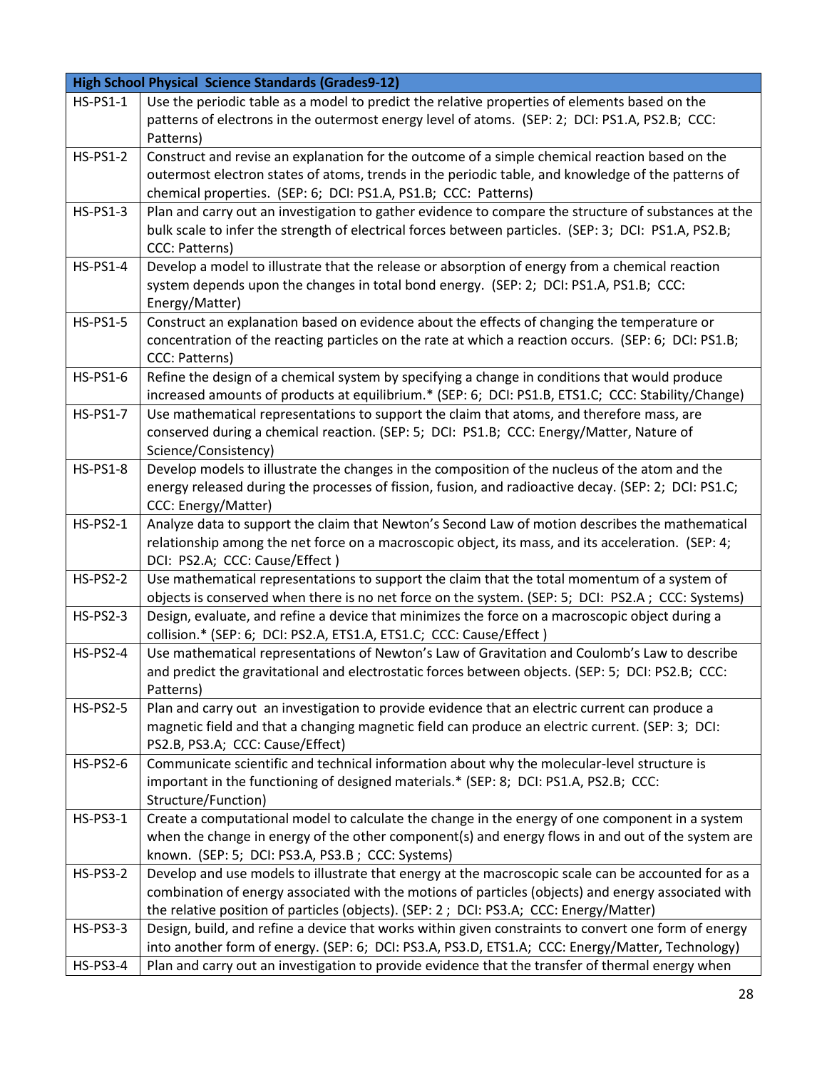|                 | <b>High School Physical Science Standards (Grades9-12)</b>                                           |
|-----------------|------------------------------------------------------------------------------------------------------|
| <b>HS-PS1-1</b> | Use the periodic table as a model to predict the relative properties of elements based on the        |
|                 | patterns of electrons in the outermost energy level of atoms. (SEP: 2; DCI: PS1.A, PS2.B; CCC:       |
|                 | Patterns)                                                                                            |
| <b>HS-PS1-2</b> | Construct and revise an explanation for the outcome of a simple chemical reaction based on the       |
|                 | outermost electron states of atoms, trends in the periodic table, and knowledge of the patterns of   |
|                 | chemical properties. (SEP: 6; DCI: PS1.A, PS1.B; CCC: Patterns)                                      |
| <b>HS-PS1-3</b> | Plan and carry out an investigation to gather evidence to compare the structure of substances at the |
|                 | bulk scale to infer the strength of electrical forces between particles. (SEP: 3; DCI: PS1.A, PS2.B; |
|                 | CCC: Patterns)                                                                                       |
| <b>HS-PS1-4</b> | Develop a model to illustrate that the release or absorption of energy from a chemical reaction      |
|                 | system depends upon the changes in total bond energy. (SEP: 2; DCI: PS1.A, PS1.B; CCC:               |
|                 | Energy/Matter)                                                                                       |
| <b>HS-PS1-5</b> | Construct an explanation based on evidence about the effects of changing the temperature or          |
|                 | concentration of the reacting particles on the rate at which a reaction occurs. (SEP: 6; DCI: PS1.B; |
|                 | CCC: Patterns)                                                                                       |
| <b>HS-PS1-6</b> | Refine the design of a chemical system by specifying a change in conditions that would produce       |
|                 | increased amounts of products at equilibrium.* (SEP: 6; DCI: PS1.B, ETS1.C; CCC: Stability/Change)   |
| <b>HS-PS1-7</b> | Use mathematical representations to support the claim that atoms, and therefore mass, are            |
|                 | conserved during a chemical reaction. (SEP: 5; DCI: PS1.B; CCC: Energy/Matter, Nature of             |
|                 | Science/Consistency)                                                                                 |
| <b>HS-PS1-8</b> | Develop models to illustrate the changes in the composition of the nucleus of the atom and the       |
|                 | energy released during the processes of fission, fusion, and radioactive decay. (SEP: 2; DCI: PS1.C; |
|                 | CCC: Energy/Matter)                                                                                  |
| <b>HS-PS2-1</b> | Analyze data to support the claim that Newton's Second Law of motion describes the mathematical      |
|                 | relationship among the net force on a macroscopic object, its mass, and its acceleration. (SEP: 4;   |
|                 | DCI: PS2.A; CCC: Cause/Effect)                                                                       |
| <b>HS-PS2-2</b> | Use mathematical representations to support the claim that the total momentum of a system of         |
|                 | objects is conserved when there is no net force on the system. (SEP: 5; DCI: PS2.A; CCC: Systems)    |
| $HS-PS2-3$      | Design, evaluate, and refine a device that minimizes the force on a macroscopic object during a      |
|                 | collision.* (SEP: 6; DCI: PS2.A, ETS1.A, ETS1.C; CCC: Cause/Effect)                                  |
| <b>HS-PS2-4</b> | Use mathematical representations of Newton's Law of Gravitation and Coulomb's Law to describe        |
|                 | and predict the gravitational and electrostatic forces between objects. (SEP: 5; DCI: PS2.B; CCC:    |
|                 | Patterns)                                                                                            |
| <b>HS-PS2-5</b> | Plan and carry out an investigation to provide evidence that an electric current can produce a       |
|                 | magnetic field and that a changing magnetic field can produce an electric current. (SEP: 3; DCI:     |
|                 | PS2.B, PS3.A; CCC: Cause/Effect)                                                                     |
| <b>HS-PS2-6</b> | Communicate scientific and technical information about why the molecular-level structure is          |
|                 | important in the functioning of designed materials.* (SEP: 8; DCI: PS1.A, PS2.B; CCC:                |
|                 | Structure/Function)                                                                                  |
| <b>HS-PS3-1</b> | Create a computational model to calculate the change in the energy of one component in a system      |
|                 | when the change in energy of the other component(s) and energy flows in and out of the system are    |
|                 | known. (SEP: 5; DCI: PS3.A, PS3.B; CCC: Systems)                                                     |
| <b>HS-PS3-2</b> | Develop and use models to illustrate that energy at the macroscopic scale can be accounted for as a  |
|                 | combination of energy associated with the motions of particles (objects) and energy associated with  |
|                 | the relative position of particles (objects). (SEP: 2 ; DCI: PS3.A; CCC: Energy/Matter)              |
| <b>HS-PS3-3</b> | Design, build, and refine a device that works within given constraints to convert one form of energy |
|                 | into another form of energy. (SEP: 6; DCI: PS3.A, PS3.D, ETS1.A; CCC: Energy/Matter, Technology)     |
| <b>HS-PS3-4</b> | Plan and carry out an investigation to provide evidence that the transfer of thermal energy when     |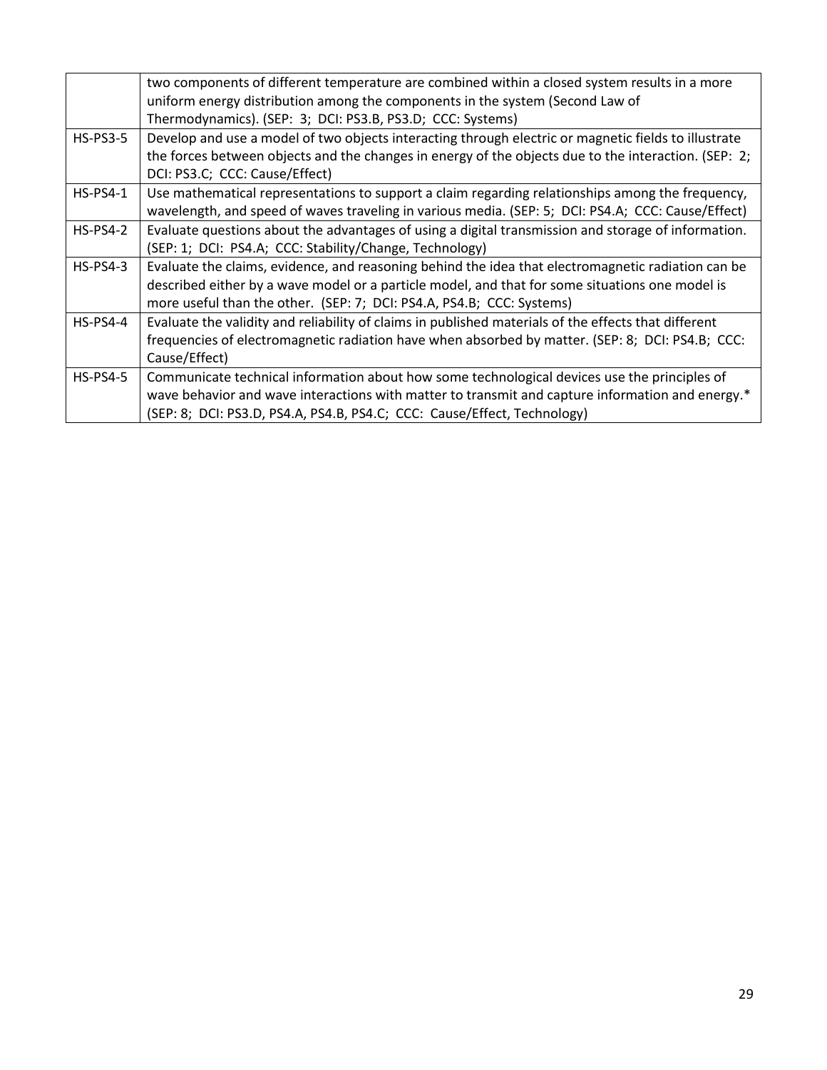|                 | two components of different temperature are combined within a closed system results in a more        |
|-----------------|------------------------------------------------------------------------------------------------------|
|                 | uniform energy distribution among the components in the system (Second Law of                        |
|                 | Thermodynamics). (SEP: 3; DCI: PS3.B, PS3.D; CCC: Systems)                                           |
| $HS-PS3-5$      | Develop and use a model of two objects interacting through electric or magnetic fields to illustrate |
|                 | the forces between objects and the changes in energy of the objects due to the interaction. (SEP: 2; |
|                 | DCI: PS3.C; CCC: Cause/Effect)                                                                       |
| $HS-PS4-1$      | Use mathematical representations to support a claim regarding relationships among the frequency,     |
|                 | wavelength, and speed of waves traveling in various media. (SEP: 5; DCI: PS4.A; CCC: Cause/Effect)   |
| <b>HS-PS4-2</b> | Evaluate questions about the advantages of using a digital transmission and storage of information.  |
|                 | (SEP: 1; DCI: PS4.A; CCC: Stability/Change, Technology)                                              |
| $HS-PS4-3$      | Evaluate the claims, evidence, and reasoning behind the idea that electromagnetic radiation can be   |
|                 | described either by a wave model or a particle model, and that for some situations one model is      |
|                 | more useful than the other. (SEP: 7; DCI: PS4.A, PS4.B; CCC: Systems)                                |
| $HS-PS4-4$      | Evaluate the validity and reliability of claims in published materials of the effects that different |
|                 | frequencies of electromagnetic radiation have when absorbed by matter. (SEP: 8; DCI: PS4.B; CCC:     |
|                 | Cause/Effect)                                                                                        |
| $HS-PS4-5$      | Communicate technical information about how some technological devices use the principles of         |
|                 | wave behavior and wave interactions with matter to transmit and capture information and energy.*     |
|                 | (SEP: 8; DCI: PS3.D, PS4.A, PS4.B, PS4.C; CCC: Cause/Effect, Technology)                             |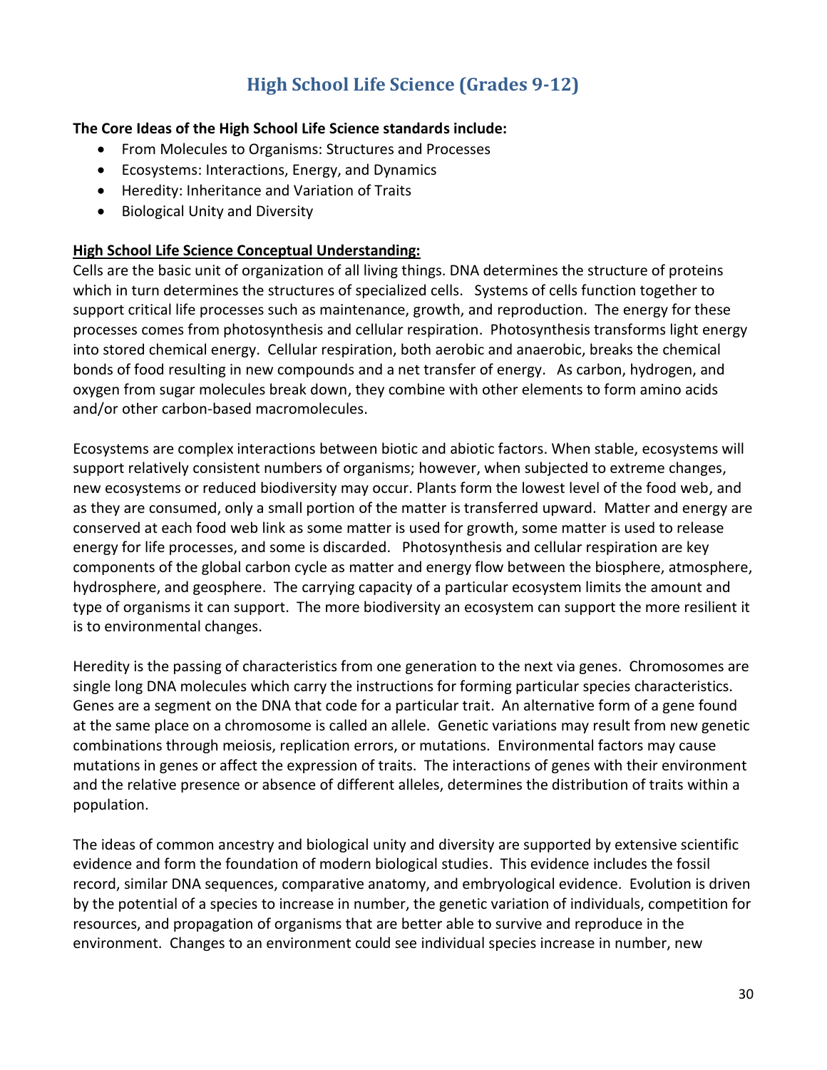## **High School Life Science (Grades 9-12)**

### **The Core Ideas of the High School Life Science standards include:**

- From Molecules to Organisms: Structures and Processes
- Ecosystems: Interactions, Energy, and Dynamics
- Heredity: Inheritance and Variation of Traits
- Biological Unity and Diversity

### **High School Life Science Conceptual Understanding:**

Cells are the basic unit of organization of all living things. DNA determines the structure of proteins which in turn determines the structures of specialized cells. Systems of cells function together to support critical life processes such as maintenance, growth, and reproduction. The energy for these processes comes from photosynthesis and cellular respiration. Photosynthesis transforms light energy into stored chemical energy. Cellular respiration, both aerobic and anaerobic, breaks the chemical bonds of food resulting in new compounds and a net transfer of energy. As carbon, hydrogen, and oxygen from sugar molecules break down, they combine with other elements to form amino acids and/or other carbon-based macromolecules.

Ecosystems are complex interactions between biotic and abiotic factors. When stable, ecosystems will support relatively consistent numbers of organisms; however, when subjected to extreme changes, new ecosystems or reduced biodiversity may occur. Plants form the lowest level of the food web, and as they are consumed, only a small portion of the matter is transferred upward. Matter and energy are conserved at each food web link as some matter is used for growth, some matter is used to release energy for life processes, and some is discarded. Photosynthesis and cellular respiration are key components of the global carbon cycle as matter and energy flow between the biosphere, atmosphere, hydrosphere, and geosphere. The carrying capacity of a particular ecosystem limits the amount and type of organisms it can support. The more biodiversity an ecosystem can support the more resilient it is to environmental changes.

Heredity is the passing of characteristics from one generation to the next via genes. Chromosomes are single long DNA molecules which carry the instructions for forming particular species characteristics. Genes are a segment on the DNA that code for a particular trait. An alternative form of a gene found at the same place on a chromosome is called an allele. Genetic variations may result from new genetic combinations through meiosis, replication errors, or mutations. Environmental factors may cause mutations in genes or affect the expression of traits. The interactions of genes with their environment and the relative presence or absence of different alleles, determines the distribution of traits within a population.

The ideas of common ancestry and biological unity and diversity are supported by extensive scientific evidence and form the foundation of modern biological studies. This evidence includes the fossil record, similar DNA sequences, comparative anatomy, and embryological evidence. Evolution is driven by the potential of a species to increase in number, the genetic variation of individuals, competition for resources, and propagation of organisms that are better able to survive and reproduce in the environment. Changes to an environment could see individual species increase in number, new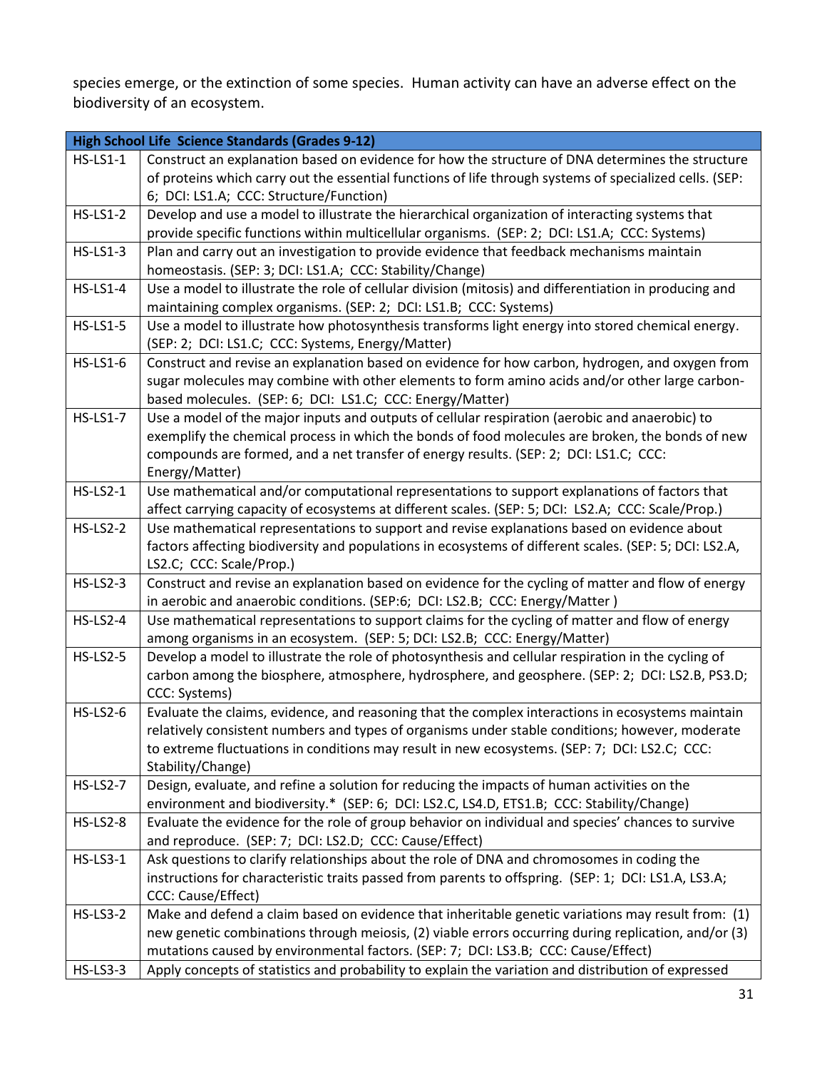species emerge, or the extinction of some species. Human activity can have an adverse effect on the biodiversity of an ecosystem.

| <b>High School Life Science Standards (Grades 9-12)</b> |                                                                                                                                                                                    |
|---------------------------------------------------------|------------------------------------------------------------------------------------------------------------------------------------------------------------------------------------|
| <b>HS-LS1-1</b>                                         | Construct an explanation based on evidence for how the structure of DNA determines the structure                                                                                   |
|                                                         | of proteins which carry out the essential functions of life through systems of specialized cells. (SEP:                                                                            |
|                                                         | 6; DCI: LS1.A; CCC: Structure/Function)                                                                                                                                            |
| <b>HS-LS1-2</b>                                         | Develop and use a model to illustrate the hierarchical organization of interacting systems that                                                                                    |
|                                                         | provide specific functions within multicellular organisms. (SEP: 2; DCI: LS1.A; CCC: Systems)                                                                                      |
| <b>HS-LS1-3</b>                                         | Plan and carry out an investigation to provide evidence that feedback mechanisms maintain                                                                                          |
|                                                         | homeostasis. (SEP: 3; DCI: LS1.A; CCC: Stability/Change)                                                                                                                           |
| <b>HS-LS1-4</b>                                         | Use a model to illustrate the role of cellular division (mitosis) and differentiation in producing and                                                                             |
|                                                         | maintaining complex organisms. (SEP: 2; DCI: LS1.B; CCC: Systems)                                                                                                                  |
| <b>HS-LS1-5</b>                                         | Use a model to illustrate how photosynthesis transforms light energy into stored chemical energy.                                                                                  |
|                                                         | (SEP: 2; DCI: LS1.C; CCC: Systems, Energy/Matter)                                                                                                                                  |
| <b>HS-LS1-6</b>                                         | Construct and revise an explanation based on evidence for how carbon, hydrogen, and oxygen from                                                                                    |
|                                                         | sugar molecules may combine with other elements to form amino acids and/or other large carbon-                                                                                     |
|                                                         | based molecules. (SEP: 6; DCI: LS1.C; CCC: Energy/Matter)                                                                                                                          |
| <b>HS-LS1-7</b>                                         | Use a model of the major inputs and outputs of cellular respiration (aerobic and anaerobic) to                                                                                     |
|                                                         | exemplify the chemical process in which the bonds of food molecules are broken, the bonds of new                                                                                   |
|                                                         | compounds are formed, and a net transfer of energy results. (SEP: 2; DCI: LS1.C; CCC:                                                                                              |
|                                                         | Energy/Matter)                                                                                                                                                                     |
| <b>HS-LS2-1</b>                                         | Use mathematical and/or computational representations to support explanations of factors that                                                                                      |
|                                                         | affect carrying capacity of ecosystems at different scales. (SEP: 5; DCI: LS2.A; CCC: Scale/Prop.)                                                                                 |
| <b>HS-LS2-2</b>                                         | Use mathematical representations to support and revise explanations based on evidence about                                                                                        |
|                                                         | factors affecting biodiversity and populations in ecosystems of different scales. (SEP: 5; DCI: LS2.A,                                                                             |
| <b>HS-LS2-3</b>                                         | LS2.C; CCC: Scale/Prop.)                                                                                                                                                           |
|                                                         | Construct and revise an explanation based on evidence for the cycling of matter and flow of energy<br>in aerobic and anaerobic conditions. (SEP:6; DCI: LS2.B; CCC: Energy/Matter) |
| <b>HS-LS2-4</b>                                         | Use mathematical representations to support claims for the cycling of matter and flow of energy                                                                                    |
|                                                         | among organisms in an ecosystem. (SEP: 5; DCI: LS2.B; CCC: Energy/Matter)                                                                                                          |
| <b>HS-LS2-5</b>                                         | Develop a model to illustrate the role of photosynthesis and cellular respiration in the cycling of                                                                                |
|                                                         | carbon among the biosphere, atmosphere, hydrosphere, and geosphere. (SEP: 2; DCI: LS2.B, PS3.D;                                                                                    |
|                                                         | CCC: Systems)                                                                                                                                                                      |
| <b>HS-LS2-6</b>                                         | Evaluate the claims, evidence, and reasoning that the complex interactions in ecosystems maintain                                                                                  |
|                                                         | relatively consistent numbers and types of organisms under stable conditions; however, moderate                                                                                    |
|                                                         | to extreme fluctuations in conditions may result in new ecosystems. (SEP: 7; DCI: LS2.C; CCC:                                                                                      |
|                                                         | Stability/Change)                                                                                                                                                                  |
| <b>HS-LS2-7</b>                                         | Design, evaluate, and refine a solution for reducing the impacts of human activities on the                                                                                        |
|                                                         | environment and biodiversity.* (SEP: 6; DCI: LS2.C, LS4.D, ETS1.B; CCC: Stability/Change)                                                                                          |
| <b>HS-LS2-8</b>                                         | Evaluate the evidence for the role of group behavior on individual and species' chances to survive                                                                                 |
|                                                         | and reproduce. (SEP: 7; DCI: LS2.D; CCC: Cause/Effect)                                                                                                                             |
| <b>HS-LS3-1</b>                                         | Ask questions to clarify relationships about the role of DNA and chromosomes in coding the                                                                                         |
|                                                         | instructions for characteristic traits passed from parents to offspring. (SEP: 1; DCI: LS1.A, LS3.A;                                                                               |
|                                                         | CCC: Cause/Effect)                                                                                                                                                                 |
| <b>HS-LS3-2</b>                                         | Make and defend a claim based on evidence that inheritable genetic variations may result from: (1)                                                                                 |
|                                                         | new genetic combinations through meiosis, (2) viable errors occurring during replication, and/or (3)                                                                               |
|                                                         | mutations caused by environmental factors. (SEP: 7; DCI: LS3.B; CCC: Cause/Effect)                                                                                                 |
| <b>HS-LS3-3</b>                                         | Apply concepts of statistics and probability to explain the variation and distribution of expressed                                                                                |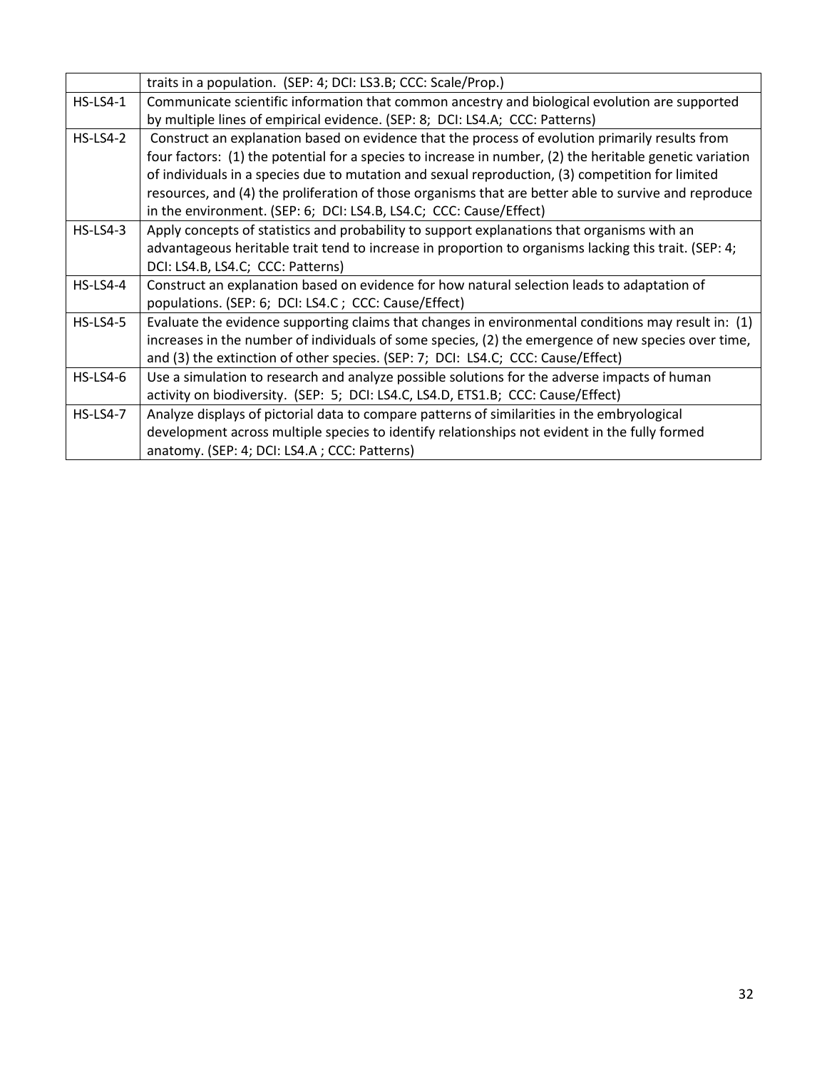|                 | traits in a population. (SEP: 4; DCI: LS3.B; CCC: Scale/Prop.)                                           |
|-----------------|----------------------------------------------------------------------------------------------------------|
| $HS-LS4-1$      | Communicate scientific information that common ancestry and biological evolution are supported           |
|                 | by multiple lines of empirical evidence. (SEP: 8; DCI: LS4.A; CCC: Patterns)                             |
| $HS$ -LS4-2     | Construct an explanation based on evidence that the process of evolution primarily results from          |
|                 | four factors: (1) the potential for a species to increase in number, (2) the heritable genetic variation |
|                 | of individuals in a species due to mutation and sexual reproduction, (3) competition for limited         |
|                 | resources, and (4) the proliferation of those organisms that are better able to survive and reproduce    |
|                 | in the environment. (SEP: 6; DCI: LS4.B, LS4.C; CCC: Cause/Effect)                                       |
| $HS$ -LS4-3     | Apply concepts of statistics and probability to support explanations that organisms with an              |
|                 | advantageous heritable trait tend to increase in proportion to organisms lacking this trait. (SEP: 4;    |
|                 | DCI: LS4.B, LS4.C; CCC: Patterns)                                                                        |
| $HS$ -LS4-4     | Construct an explanation based on evidence for how natural selection leads to adaptation of              |
|                 | populations. (SEP: 6; DCI: LS4.C; CCC: Cause/Effect)                                                     |
| $HS$ -LS4-5     | Evaluate the evidence supporting claims that changes in environmental conditions may result in: (1)      |
|                 | increases in the number of individuals of some species, (2) the emergence of new species over time,      |
|                 | and (3) the extinction of other species. (SEP: 7; DCI: LS4.C; CCC: Cause/Effect)                         |
| $HS$ -LS4-6     | Use a simulation to research and analyze possible solutions for the adverse impacts of human             |
|                 | activity on biodiversity. (SEP: 5; DCI: LS4.C, LS4.D, ETS1.B; CCC: Cause/Effect)                         |
| <b>HS-LS4-7</b> | Analyze displays of pictorial data to compare patterns of similarities in the embryological              |
|                 | development across multiple species to identify relationships not evident in the fully formed            |
|                 | anatomy. (SEP: 4; DCI: LS4.A; CCC: Patterns)                                                             |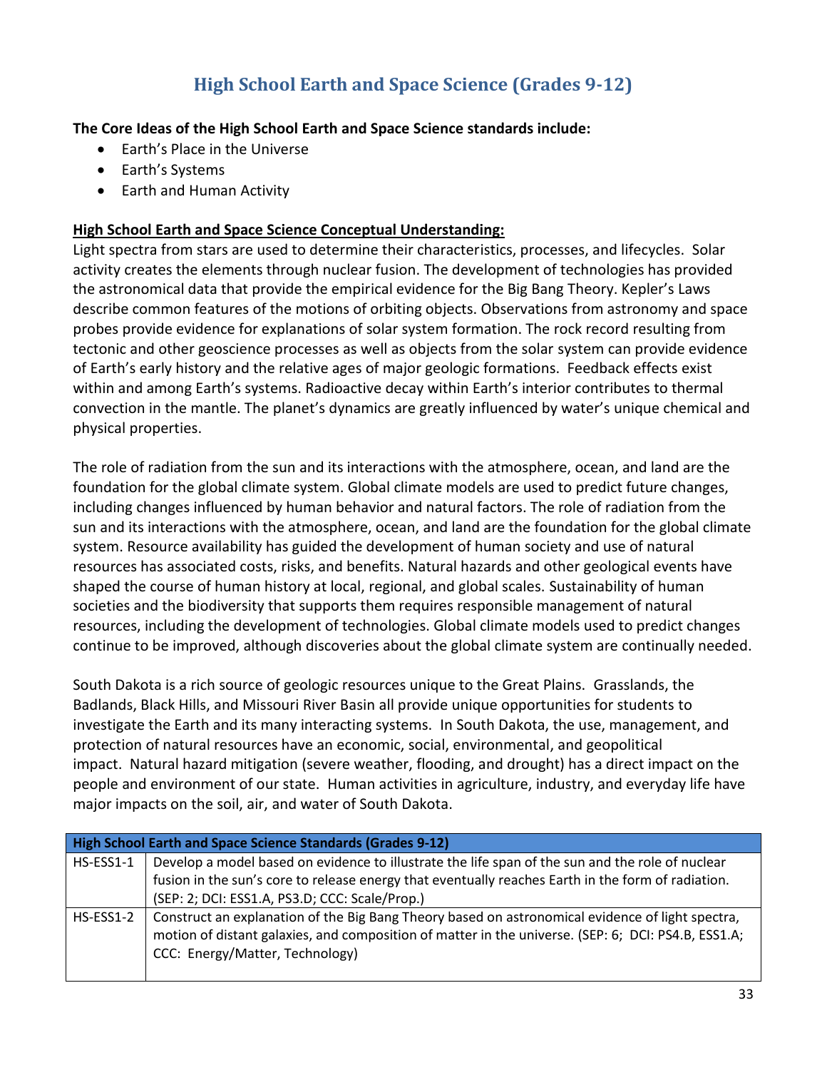## **High School Earth and Space Science (Grades 9-12)**

### **The Core Ideas of the High School Earth and Space Science standards include:**

- Earth's Place in the Universe
- Earth's Systems
- Earth and Human Activity

### **High School Earth and Space Science Conceptual Understanding:**

Light spectra from stars are used to determine their characteristics, processes, and lifecycles. Solar activity creates the elements through nuclear fusion. The development of technologies has provided the astronomical data that provide the empirical evidence for the Big Bang Theory. Kepler's Laws describe common features of the motions of orbiting objects. Observations from astronomy and space probes provide evidence for explanations of solar system formation. The rock record resulting from tectonic and other geoscience processes as well as objects from the solar system can provide evidence of Earth's early history and the relative ages of major geologic formations. Feedback effects exist within and among Earth's systems. Radioactive decay within Earth's interior contributes to thermal convection in the mantle. The planet's dynamics are greatly influenced by water's unique chemical and physical properties.

The role of radiation from the sun and its interactions with the atmosphere, ocean, and land are the foundation for the global climate system. Global climate models are used to predict future changes, including changes influenced by human behavior and natural factors. The role of radiation from the sun and its interactions with the atmosphere, ocean, and land are the foundation for the global climate system. Resource availability has guided the development of human society and use of natural resources has associated costs, risks, and benefits. Natural hazards and other geological events have shaped the course of human history at local, regional, and global scales. Sustainability of human societies and the biodiversity that supports them requires responsible management of natural resources, including the development of technologies. Global climate models used to predict changes continue to be improved, although discoveries about the global climate system are continually needed.

South Dakota is a rich source of geologic resources unique to the Great Plains. Grasslands, the Badlands, Black Hills, and Missouri River Basin all provide unique opportunities for students to investigate the Earth and its many interacting systems. In South Dakota, the use, management, and protection of natural resources have an economic, social, environmental, and geopolitical impact. Natural hazard mitigation (severe weather, flooding, and drought) has a direct impact on the people and environment of our state. Human activities in agriculture, industry, and everyday life have major impacts on the soil, air, and water of South Dakota.

| High School Earth and Space Science Standards (Grades 9-12) |                                                                                                     |
|-------------------------------------------------------------|-----------------------------------------------------------------------------------------------------|
| HS-ESS1-1                                                   | Develop a model based on evidence to illustrate the life span of the sun and the role of nuclear    |
|                                                             | fusion in the sun's core to release energy that eventually reaches Earth in the form of radiation.  |
|                                                             | (SEP: 2; DCI: ESS1.A, PS3.D; CCC: Scale/Prop.)                                                      |
| HS-ESS1-2                                                   | Construct an explanation of the Big Bang Theory based on astronomical evidence of light spectra,    |
|                                                             | motion of distant galaxies, and composition of matter in the universe. (SEP: 6; DCI: PS4.B, ESS1.A; |
|                                                             | CCC: Energy/Matter, Technology)                                                                     |
|                                                             |                                                                                                     |